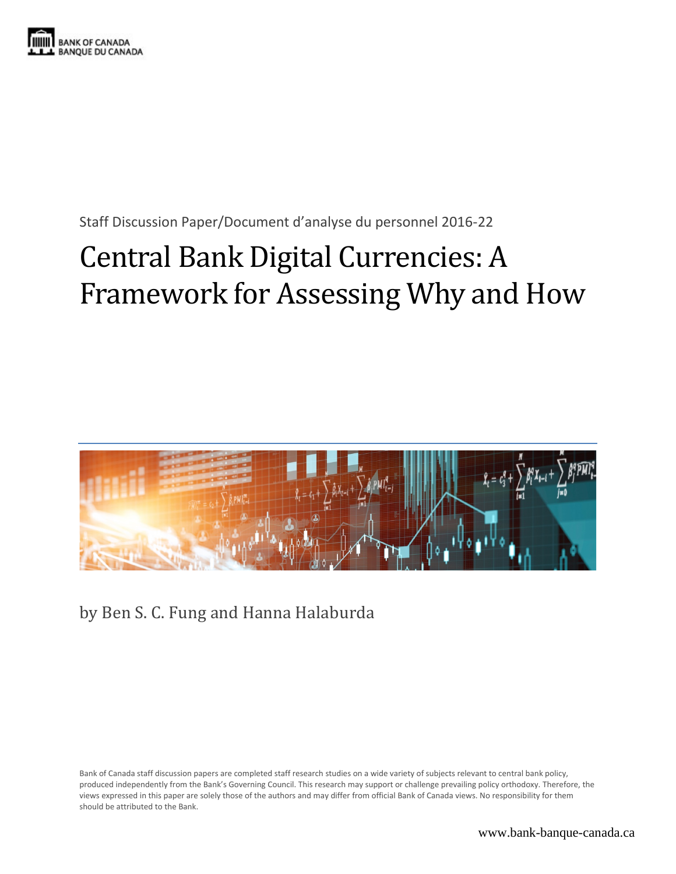

Staff Discussion Paper/Document d'analyse du personnel 2016-22

# Central Bank Digital Currencies: A Framework for Assessing Why and How



by Ben S. C. Fung and Hanna Halaburda

Bank of Canada staff discussion papers are completed staff research studies on a wide variety of subjects relevant to central bank policy, produced independently from the Bank's Governing Council. This research may support or challenge prevailing policy orthodoxy. Therefore, the views expressed in this paper are solely those of the authors and may differ from official Bank of Canada views. No responsibility for them should be attributed to the Bank.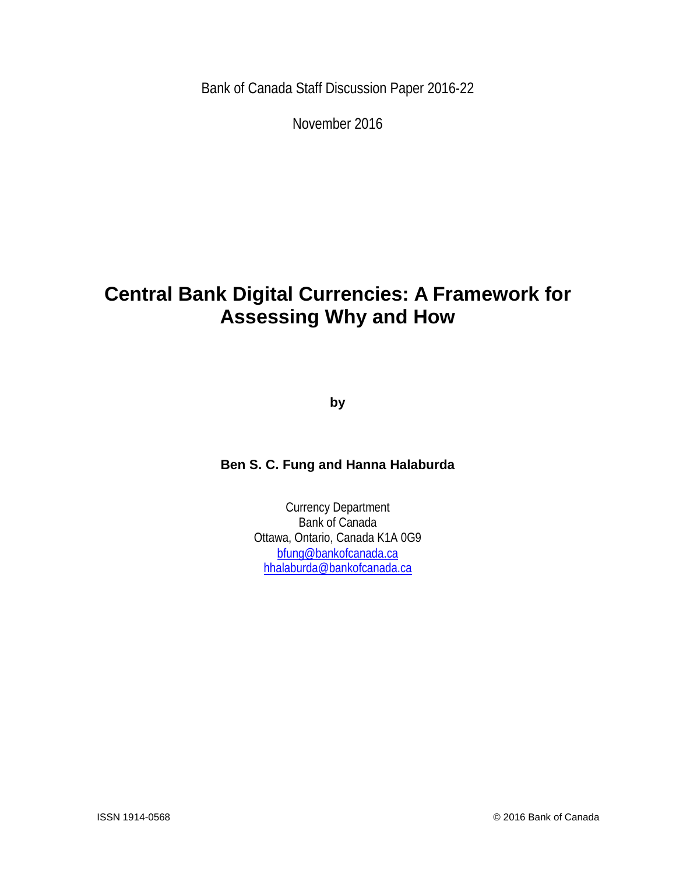Bank of Canada Staff Discussion Paper 2016-22

November 2016

# **Central Bank Digital Currencies: A Framework for Assessing Why and How**

**by**

#### **Ben S. C. Fung and Hanna Halaburda**

Currency Department Bank of Canada Ottawa, Ontario, Canada K1A 0G9 [bfung@bankofcanada.ca](mailto:bfung@bankofcanada.ca) [hhalaburda@bankofcanada.ca](mailto:hhalaburda@bankofcanada.ca)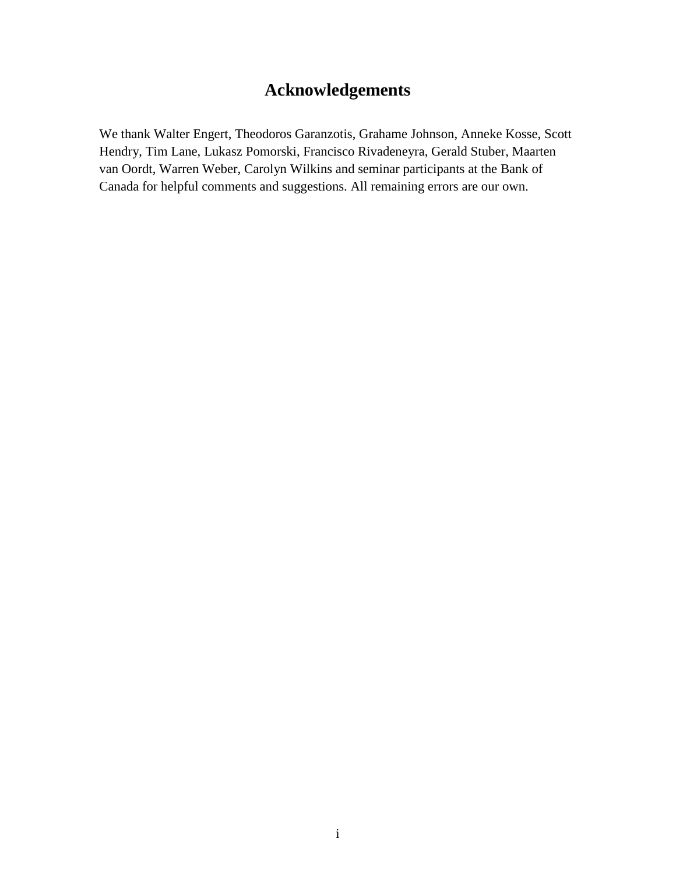# **Acknowledgements**

We thank Walter Engert, Theodoros Garanzotis, Grahame Johnson, Anneke Kosse, Scott Hendry, Tim Lane, Lukasz Pomorski, Francisco Rivadeneyra, Gerald Stuber, Maarten van Oordt, Warren Weber, Carolyn Wilkins and seminar participants at the Bank of Canada for helpful comments and suggestions. All remaining errors are our own.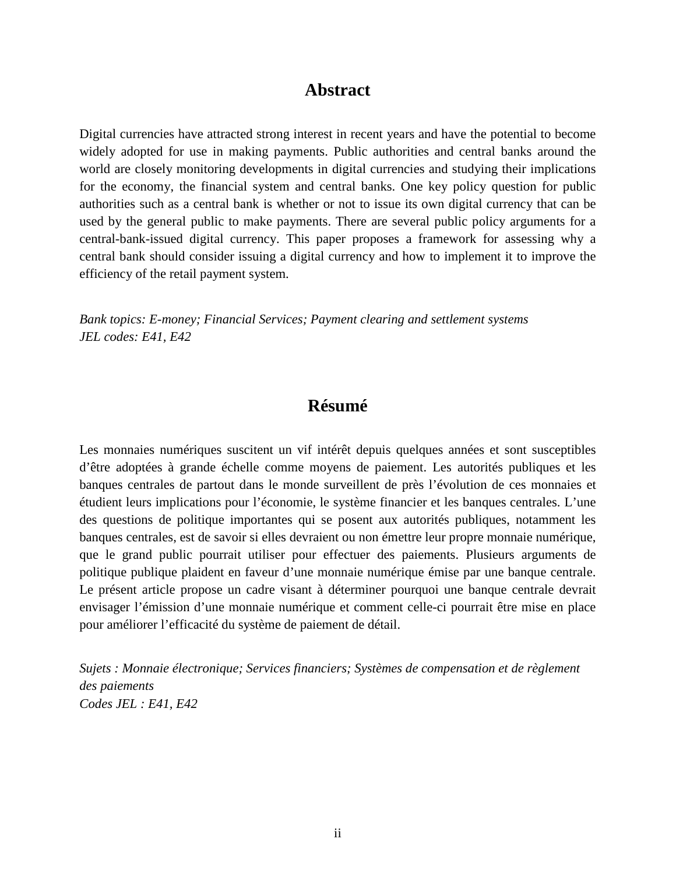## **Abstract**

Digital currencies have attracted strong interest in recent years and have the potential to become widely adopted for use in making payments. Public authorities and central banks around the world are closely monitoring developments in digital currencies and studying their implications for the economy, the financial system and central banks. One key policy question for public authorities such as a central bank is whether or not to issue its own digital currency that can be used by the general public to make payments. There are several public policy arguments for a central-bank-issued digital currency. This paper proposes a framework for assessing why a central bank should consider issuing a digital currency and how to implement it to improve the efficiency of the retail payment system.

*Bank topics: E-money; Financial Services; Payment clearing and settlement systems JEL codes: E41, E42*

## **Résumé**

Les monnaies numériques suscitent un vif intérêt depuis quelques années et sont susceptibles d'être adoptées à grande échelle comme moyens de paiement. Les autorités publiques et les banques centrales de partout dans le monde surveillent de près l'évolution de ces monnaies et étudient leurs implications pour l'économie, le système financier et les banques centrales. L'une des questions de politique importantes qui se posent aux autorités publiques, notamment les banques centrales, est de savoir si elles devraient ou non émettre leur propre monnaie numérique, que le grand public pourrait utiliser pour effectuer des paiements. Plusieurs arguments de politique publique plaident en faveur d'une monnaie numérique émise par une banque centrale. Le présent article propose un cadre visant à déterminer pourquoi une banque centrale devrait envisager l'émission d'une monnaie numérique et comment celle-ci pourrait être mise en place pour améliorer l'efficacité du système de paiement de détail.

*Sujets : Monnaie électronique; Services financiers; Systèmes de compensation et de règlement des paiements Codes JEL : E41, E42*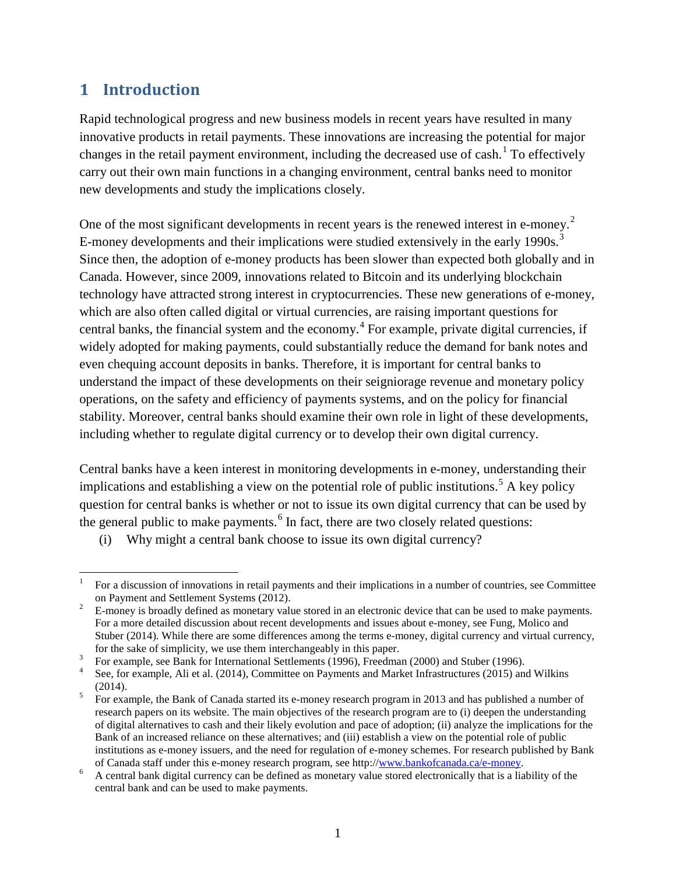## **1 Introduction**

Rapid technological progress and new business models in recent years have resulted in many innovative products in retail payments. These innovations are increasing the potential for major changes in the retail payment environment, including the decreased use of cash.<sup>[1](#page-4-0)</sup> To effectively carry out their own main functions in a changing environment, central banks need to monitor new developments and study the implications closely.

One of the most significant developments in recent years is the renewed interest in e-money.<sup>[2](#page-4-1)</sup> E-money developments and their implications were studied extensively in the early 1990s.<sup>[3](#page-4-2)</sup> Since then, the adoption of e-money products has been slower than expected both globally and in Canada. However, since 2009, innovations related to Bitcoin and its underlying blockchain technology have attracted strong interest in cryptocurrencies. These new generations of e-money, which are also often called digital or virtual currencies, are raising important questions for central banks, the financial system and the economy. [4](#page-4-3) For example, private digital currencies, if widely adopted for making payments, could substantially reduce the demand for bank notes and even chequing account deposits in banks. Therefore, it is important for central banks to understand the impact of these developments on their seigniorage revenue and monetary policy operations, on the safety and efficiency of payments systems, and on the policy for financial stability. Moreover, central banks should examine their own role in light of these developments, including whether to regulate digital currency or to develop their own digital currency.

Central banks have a keen interest in monitoring developments in e-money, understanding their implications and establishing a view on the potential role of public institutions.<sup>[5](#page-4-4)</sup> A key policy question for central banks is whether or not to issue its own digital currency that can be used by the general public to make payments.<sup>[6](#page-4-5)</sup> In fact, there are two closely related questions:

(i) Why might a central bank choose to issue its own digital currency?

<span id="page-4-0"></span> <sup>1</sup> For a discussion of innovations in retail payments and their implications in a number of countries, see Committee on Payment and Settlement Systems (2012).<br>E-money is broadly defined as monetary value stored in an electronic device that can be used to make payments.

<span id="page-4-1"></span>For a more detailed discussion about recent developments and issues about e-money, see Fung, Molico and Stuber (2014). While there are some differences among the terms e-money, digital currency and virtual currency,

<span id="page-4-3"></span><span id="page-4-2"></span>

for the sake of simplicity, we use them interchangeably in this paper.<br>
<sup>3</sup> For example, see Bank for International Settlements (1996), Freedman (2000) and Stuber (1996).<br>
<sup>4</sup> See, for example, Ali et al. (2014), Committee (2014).<br><sup>5</sup> For example, the Bank of Canada started its e-money research program in 2013 and has published a number of

<span id="page-4-4"></span>research papers on its website. The main objectives of the research program are to (i) deepen the understanding of digital alternatives to cash and their likely evolution and pace of adoption; (ii) analyze the implications for the Bank of an increased reliance on these alternatives; and (iii) establish a view on the potential role of public institutions as e-money issuers, and the need for regulation of e-money schemes. For research published by Bank

<span id="page-4-5"></span>of Canada staff under this e-money research program, see http:/[/www.bankofcanada.ca/e-money.](http://www.bankofcanada.ca/e-money)<br><sup>6</sup> A central bank digital currency can be defined as monetary value stored electronically that is a liability of the central bank and can be used to make payments.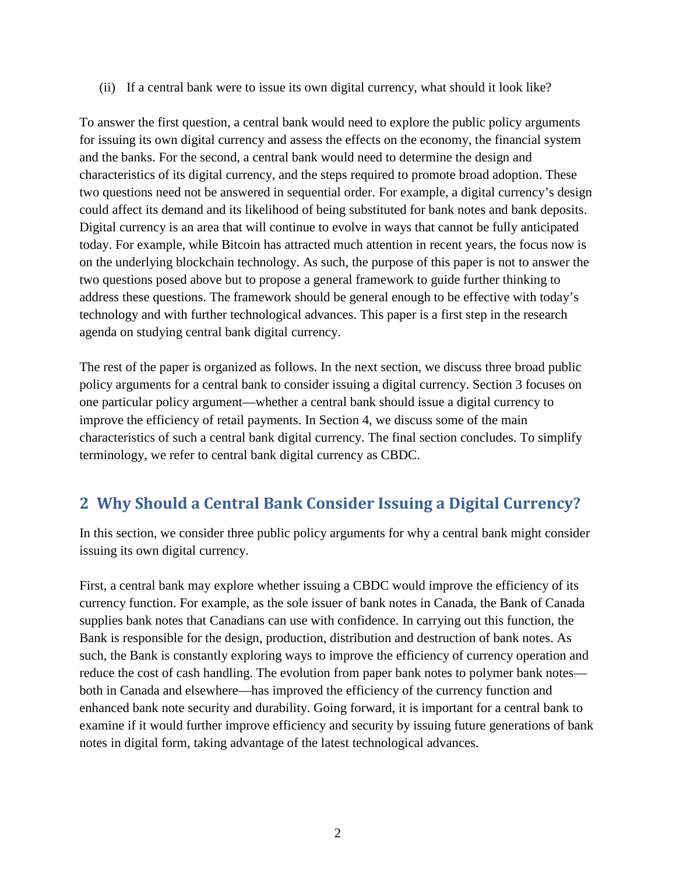(ii) If a central bank were to issue its own digital currency, what should it look like?

To answer the first question, a central bank would need to explore the public policy arguments for issuing its own digital currency and assess the effects on the economy, the financial system and the banks. For the second, a central bank would need to determine the design and characteristics of its digital currency, and the steps required to promote broad adoption. These two questions need not be answered in sequential order. For example, a digital currency's design could affect its demand and its likelihood of being substituted for bank notes and bank deposits. Digital currency is an area that will continue to evolve in ways that cannot be fully anticipated today. For example, while Bitcoin has attracted much attention in recent years, the focus now is on the underlying blockchain technology. As such, the purpose of this paper is not to answer the two questions posed above but to propose a general framework to guide further thinking to address these questions. The framework should be general enough to be effective with today's technology and with further technological advances. This paper is a first step in the research agenda on studying central bank digital currency.

The rest of the paper is organized as follows. In the next section, we discuss three broad public policy arguments for a central bank to consider issuing a digital currency. Section 3 focuses on one particular policy argument—whether a central bank should issue a digital currency to improve the efficiency of retail payments. In Section 4, we discuss some of the main characteristics of such a central bank digital currency. The final section concludes. To simplify terminology, we refer to central bank digital currency as CBDC.

## **2 Why Should a Central Bank Consider Issuing a Digital Currency?**

In this section, we consider three public policy arguments for why a central bank might consider issuing its own digital currency.

First, a central bank may explore whether issuing a CBDC would improve the efficiency of its currency function. For example, as the sole issuer of bank notes in Canada, the Bank of Canada supplies bank notes that Canadians can use with confidence. In carrying out this function, the Bank is responsible for the design, production, distribution and destruction of bank notes. As such, the Bank is constantly exploring ways to improve the efficiency of currency operation and reduce the cost of cash handling. The evolution from paper bank notes to polymer bank notes both in Canada and elsewhere—has improved the efficiency of the currency function and enhanced bank note security and durability. Going forward, it is important for a central bank to examine if it would further improve efficiency and security by issuing future generations of bank notes in digital form, taking advantage of the latest technological advances.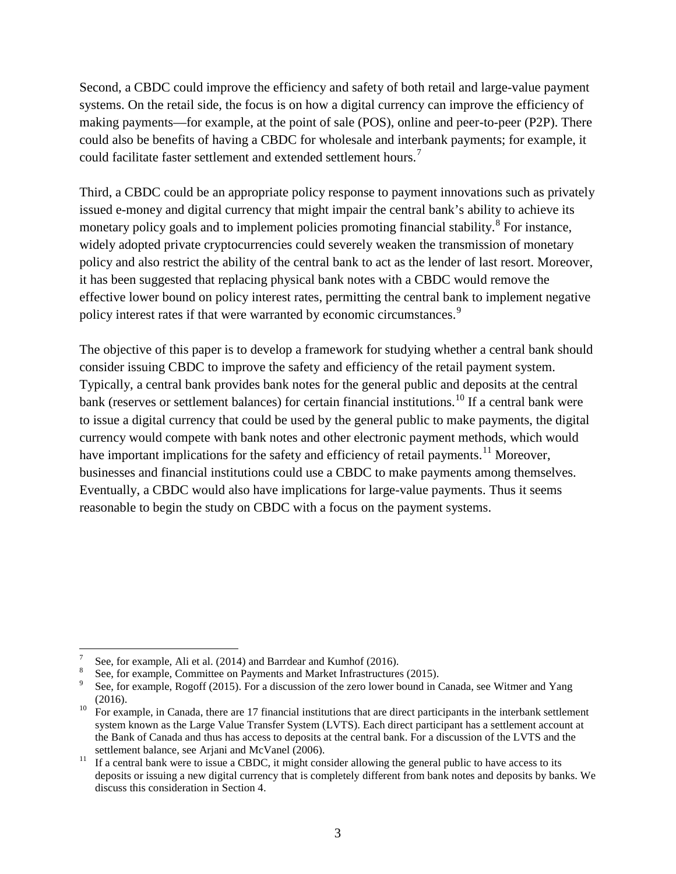Second, a CBDC could improve the efficiency and safety of both retail and large-value payment systems. On the retail side, the focus is on how a digital currency can improve the efficiency of making payments—for example, at the point of sale (POS), online and peer-to-peer (P2P). There could also be benefits of having a CBDC for wholesale and interbank payments; for example, it could facilitate faster settlement and extended settlement hours.<sup>[7](#page-6-0)</sup>

Third, a CBDC could be an appropriate policy response to payment innovations such as privately issued e-money and digital currency that might impair the central bank's ability to achieve its monetary policy goals and to implement policies promoting financial stability.<sup>[8](#page-6-1)</sup> For instance, widely adopted private cryptocurrencies could severely weaken the transmission of monetary policy and also restrict the ability of the central bank to act as the lender of last resort. Moreover, it has been suggested that replacing physical bank notes with a CBDC would remove the effective lower bound on policy interest rates, permitting the central bank to implement negative policy interest rates if that were warranted by economic circumstances.<sup>[9](#page-6-2)</sup>

The objective of this paper is to develop a framework for studying whether a central bank should consider issuing CBDC to improve the safety and efficiency of the retail payment system. Typically, a central bank provides bank notes for the general public and deposits at the central bank (reserves or settlement balances) for certain financial institutions.<sup>[10](#page-6-3)</sup> If a central bank were to issue a digital currency that could be used by the general public to make payments, the digital currency would compete with bank notes and other electronic payment methods, which would have important implications for the safety and efficiency of retail payments.<sup>[11](#page-6-4)</sup> Moreover, businesses and financial institutions could use a CBDC to make payments among themselves. Eventually, a CBDC would also have implications for large-value payments. Thus it seems reasonable to begin the study on CBDC with a focus on the payment systems.

<span id="page-6-2"></span><span id="page-6-1"></span>

<span id="page-6-0"></span>See, for example, Ali et al. (2014) and Barrdear and Kumhof (2016).<br>See, for example, Committee on Payments and Market Infrastructures (2015).<br>See, for example, Rogoff (2015). For a discussion of the zero lower bound in Ca (2016).<br><sup>10</sup> For example, in Canada, there are 17 financial institutions that are direct participants in the interbank settlement

<span id="page-6-3"></span>system known as the Large Value Transfer System (LVTS). Each direct participant has a settlement account at the Bank of Canada and thus has access to deposits at the central bank. For a discussion of the LVTS and the settlement balance, see Arjani and McVanel (2006).<br><sup>11</sup> If a central bank were to issue a CBDC, it might consider allowing the general public to have access to its

<span id="page-6-4"></span>deposits or issuing a new digital currency that is completely different from bank notes and deposits by banks. We discuss this consideration in Section 4.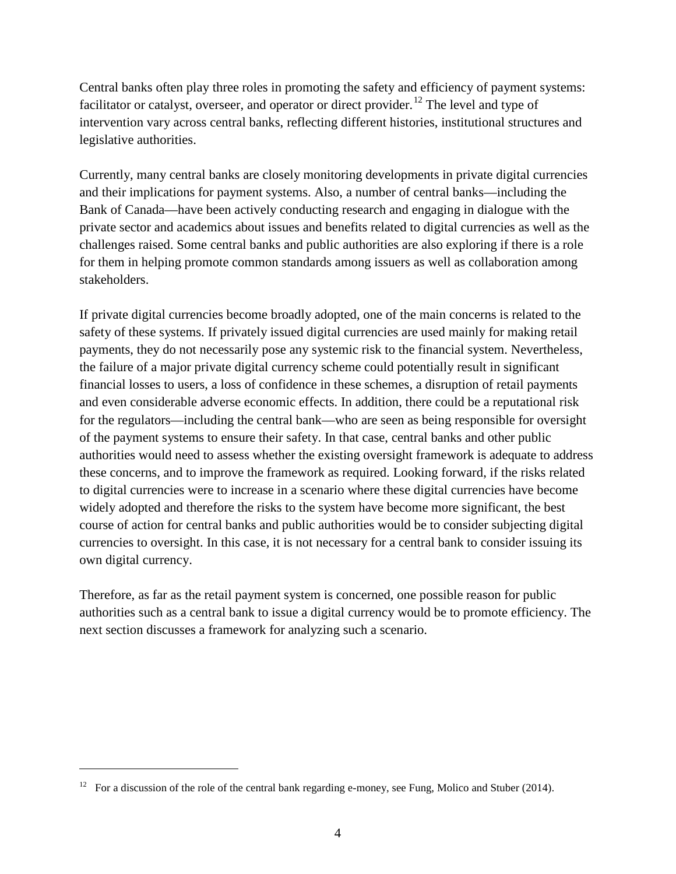Central banks often play three roles in promoting the safety and efficiency of payment systems: facilitator or catalyst, overseer, and operator or direct provider.<sup>[12](#page-7-0)</sup> The level and type of intervention vary across central banks, reflecting different histories, institutional structures and legislative authorities.

Currently, many central banks are closely monitoring developments in private digital currencies and their implications for payment systems. Also, a number of central banks—including the Bank of Canada—have been actively conducting research and engaging in dialogue with the private sector and academics about issues and benefits related to digital currencies as well as the challenges raised. Some central banks and public authorities are also exploring if there is a role for them in helping promote common standards among issuers as well as collaboration among stakeholders.

If private digital currencies become broadly adopted, one of the main concerns is related to the safety of these systems. If privately issued digital currencies are used mainly for making retail payments, they do not necessarily pose any systemic risk to the financial system. Nevertheless, the failure of a major private digital currency scheme could potentially result in significant financial losses to users, a loss of confidence in these schemes, a disruption of retail payments and even considerable adverse economic effects. In addition, there could be a reputational risk for the regulators—including the central bank—who are seen as being responsible for oversight of the payment systems to ensure their safety. In that case, central banks and other public authorities would need to assess whether the existing oversight framework is adequate to address these concerns, and to improve the framework as required. Looking forward, if the risks related to digital currencies were to increase in a scenario where these digital currencies have become widely adopted and therefore the risks to the system have become more significant, the best course of action for central banks and public authorities would be to consider subjecting digital currencies to oversight. In this case, it is not necessary for a central bank to consider issuing its own digital currency.

Therefore, as far as the retail payment system is concerned, one possible reason for public authorities such as a central bank to issue a digital currency would be to promote efficiency. The next section discusses a framework for analyzing such a scenario.

 $\overline{a}$ 

<span id="page-7-0"></span><sup>&</sup>lt;sup>12</sup> For a discussion of the role of the central bank regarding e-money, see Fung, Molico and Stuber (2014).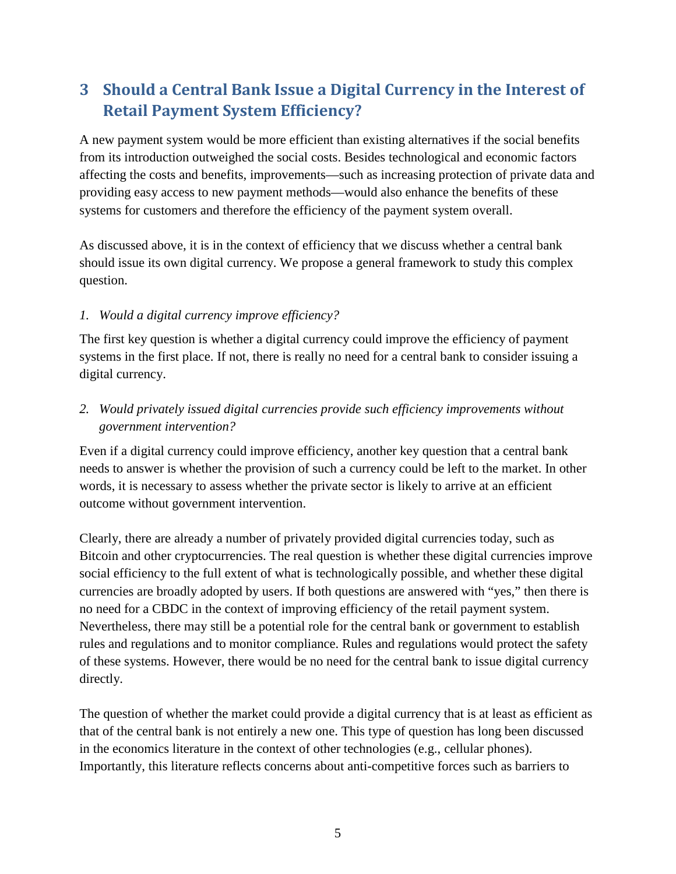# **3 Should a Central Bank Issue a Digital Currency in the Interest of Retail Payment System Efficiency?**

A new payment system would be more efficient than existing alternatives if the social benefits from its introduction outweighed the social costs. Besides technological and economic factors affecting the costs and benefits, improvements—such as increasing protection of private data and providing easy access to new payment methods—would also enhance the benefits of these systems for customers and therefore the efficiency of the payment system overall.

As discussed above, it is in the context of efficiency that we discuss whether a central bank should issue its own digital currency. We propose a general framework to study this complex question.

#### *1. Would a digital currency improve efficiency?*

The first key question is whether a digital currency could improve the efficiency of payment systems in the first place. If not, there is really no need for a central bank to consider issuing a digital currency.

#### *2. Would privately issued digital currencies provide such efficiency improvements without government intervention?*

Even if a digital currency could improve efficiency, another key question that a central bank needs to answer is whether the provision of such a currency could be left to the market. In other words, it is necessary to assess whether the private sector is likely to arrive at an efficient outcome without government intervention.

Clearly, there are already a number of privately provided digital currencies today, such as Bitcoin and other cryptocurrencies. The real question is whether these digital currencies improve social efficiency to the full extent of what is technologically possible, and whether these digital currencies are broadly adopted by users. If both questions are answered with "yes," then there is no need for a CBDC in the context of improving efficiency of the retail payment system. Nevertheless, there may still be a potential role for the central bank or government to establish rules and regulations and to monitor compliance. Rules and regulations would protect the safety of these systems. However, there would be no need for the central bank to issue digital currency directly.

The question of whether the market could provide a digital currency that is at least as efficient as that of the central bank is not entirely a new one. This type of question has long been discussed in the economics literature in the context of other technologies (e.g., cellular phones). Importantly, this literature reflects concerns about anti-competitive forces such as barriers to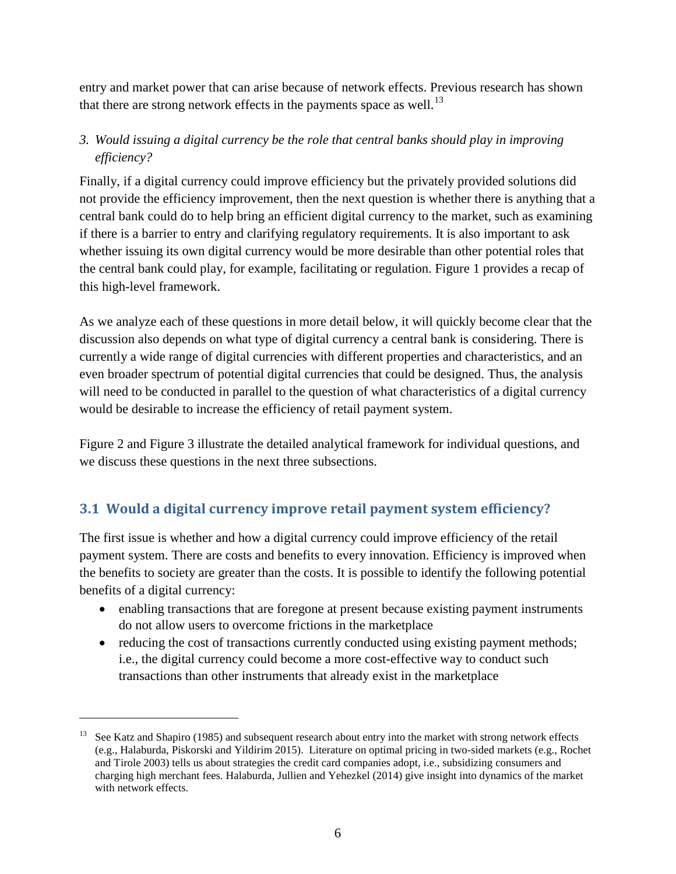entry and market power that can arise because of network effects. Previous research has shown that there are strong network effects in the payments space as well.<sup>[13](#page-9-0)</sup>

#### *3. Would issuing a digital currency be the role that central banks should play in improving efficiency?*

Finally, if a digital currency could improve efficiency but the privately provided solutions did not provide the efficiency improvement, then the next question is whether there is anything that a central bank could do to help bring an efficient digital currency to the market, such as examining if there is a barrier to entry and clarifying regulatory requirements. It is also important to ask whether issuing its own digital currency would be more desirable than other potential roles that the central bank could play, for example, facilitating or regulation. Figure 1 provides a recap of this high-level framework.

As we analyze each of these questions in more detail below, it will quickly become clear that the discussion also depends on what type of digital currency a central bank is considering. There is currently a wide range of digital currencies with different properties and characteristics, and an even broader spectrum of potential digital currencies that could be designed. Thus, the analysis will need to be conducted in parallel to the question of what characteristics of a digital currency would be desirable to increase the efficiency of retail payment system.

Figure 2 and Figure 3 illustrate the detailed analytical framework for individual questions, and we discuss these questions in the next three subsections.

## **3.1 Would a digital currency improve retail payment system efficiency?**

The first issue is whether and how a digital currency could improve efficiency of the retail payment system. There are costs and benefits to every innovation. Efficiency is improved when the benefits to society are greater than the costs. It is possible to identify the following potential benefits of a digital currency:

- enabling transactions that are foregone at present because existing payment instruments do not allow users to overcome frictions in the marketplace
- reducing the cost of transactions currently conducted using existing payment methods; i.e., the digital currency could become a more cost-effective way to conduct such transactions than other instruments that already exist in the marketplace

 $\overline{a}$ 

<span id="page-9-0"></span><sup>13</sup> See Katz and Shapiro (1985) and subsequent research about entry into the market with strong network effects (e.g., Halaburda, Piskorski and Yildirim 2015). Literature on optimal pricing in two-sided markets (e.g., Rochet and Tirole 2003) tells us about strategies the credit card companies adopt, i.e., subsidizing consumers and charging high merchant fees. Halaburda, Jullien and Yehezkel (2014) give insight into dynamics of the market with network effects.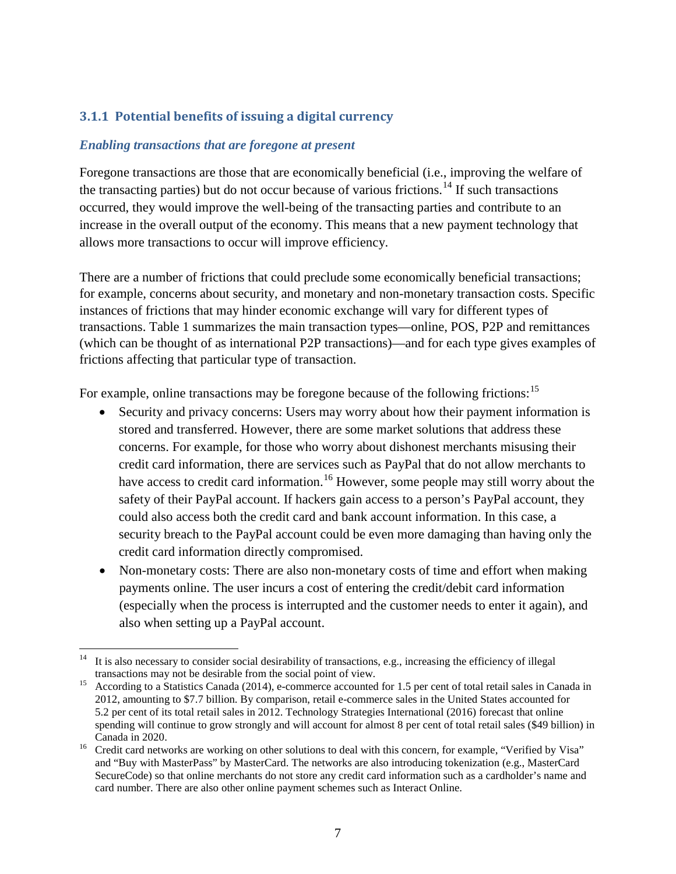#### **3.1.1 Potential benefits of issuing a digital currency**

#### *Enabling transactions that are foregone at present*

Foregone transactions are those that are economically beneficial (i.e., improving the welfare of the transacting parties) but do not occur because of various frictions.<sup>[14](#page-10-0)</sup> If such transactions occurred, they would improve the well-being of the transacting parties and contribute to an increase in the overall output of the economy. This means that a new payment technology that allows more transactions to occur will improve efficiency.

There are a number of frictions that could preclude some economically beneficial transactions; for example, concerns about security, and monetary and non-monetary transaction costs. Specific instances of frictions that may hinder economic exchange will vary for different types of transactions. Table 1 summarizes the main transaction types—online, POS, P2P and remittances (which can be thought of as international P2P transactions)—and for each type gives examples of frictions affecting that particular type of transaction.

For example, online transactions may be foregone because of the following frictions:<sup>[15](#page-10-1)</sup>

- Security and privacy concerns: Users may worry about how their payment information is stored and transferred. However, there are some market solutions that address these concerns. For example, for those who worry about dishonest merchants misusing their credit card information, there are services such as PayPal that do not allow merchants to have access to credit card information.<sup>[16](#page-10-2)</sup> However, some people may still worry about the safety of their PayPal account. If hackers gain access to a person's PayPal account, they could also access both the credit card and bank account information. In this case, a security breach to the PayPal account could be even more damaging than having only the credit card information directly compromised.
- Non-monetary costs: There are also non-monetary costs of time and effort when making payments online. The user incurs a cost of entering the credit/debit card information (especially when the process is interrupted and the customer needs to enter it again), and also when setting up a PayPal account.

<span id="page-10-0"></span>It is also necessary to consider social desirability of transactions, e.g., increasing the efficiency of illegal transactions may not be desirable from the social point of view.

<span id="page-10-1"></span>According to a Statistics Canada (2014), e-commerce accounted for 1.5 per cent of total retail sales in Canada in 2012, amounting to \$7.7 billion. By comparison, retail e-commerce sales in the United States accounted for 5.2 per cent of its total retail sales in 2012. Technology Strategies International (2016) forecast that online spending will continue to grow strongly and will account for almost 8 per cent of total retail sales (\$49 billion) in

<span id="page-10-2"></span>Canada in 2020. <sup>16</sup> Credit card networks are working on other solutions to deal with this concern, for example, "Verified by Visa" and "Buy with MasterPass" by MasterCard. The networks are also introducing tokenization (e.g., MasterCard SecureCode) so that online merchants do not store any credit card information such as a cardholder's name and card number. There are also other online payment schemes such as Interact Online.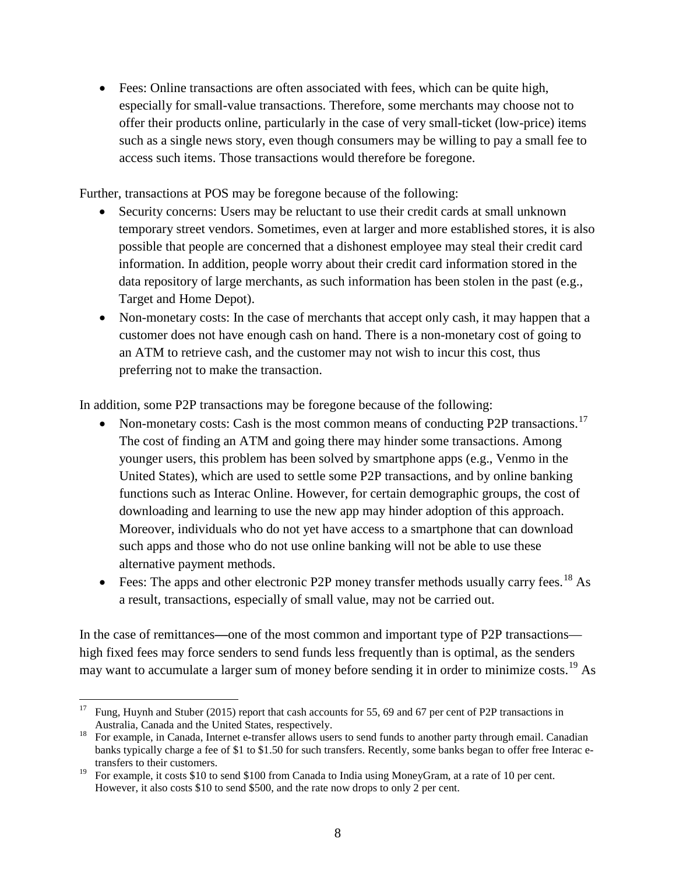• Fees: Online transactions are often associated with fees, which can be quite high, especially for small-value transactions. Therefore, some merchants may choose not to offer their products online, particularly in the case of very small-ticket (low-price) items such as a single news story, even though consumers may be willing to pay a small fee to access such items. Those transactions would therefore be foregone.

Further, transactions at POS may be foregone because of the following:

- Security concerns: Users may be reluctant to use their credit cards at small unknown temporary street vendors. Sometimes, even at larger and more established stores, it is also possible that people are concerned that a dishonest employee may steal their credit card information. In addition, people worry about their credit card information stored in the data repository of large merchants, as such information has been stolen in the past (e.g., Target and Home Depot).
- Non-monetary costs: In the case of merchants that accept only cash, it may happen that a customer does not have enough cash on hand. There is a non-monetary cost of going to an ATM to retrieve cash, and the customer may not wish to incur this cost, thus preferring not to make the transaction.

In addition, some P2P transactions may be foregone because of the following:

- Non-monetary costs: Cash is the most common means of conducting P2P transactions.<sup>[17](#page-11-0)</sup> The cost of finding an ATM and going there may hinder some transactions. Among younger users, this problem has been solved by smartphone apps (e.g., Venmo in the United States), which are used to settle some P2P transactions, and by online banking functions such as Interac Online. However, for certain demographic groups, the cost of downloading and learning to use the new app may hinder adoption of this approach. Moreover, individuals who do not yet have access to a smartphone that can download such apps and those who do not use online banking will not be able to use these alternative payment methods.
- Fees: The apps and other electronic P2P money transfer methods usually carry fees.<sup>[18](#page-11-1)</sup> As a result, transactions, especially of small value, may not be carried out.

In the case of remittances**—**one of the most common and important type of P2P transactions high fixed fees may force senders to send funds less frequently than is optimal, as the senders may want to accumulate a larger sum of money before sending it in order to minimize costs.<sup>[19](#page-11-2)</sup> As

<span id="page-11-0"></span><sup>&</sup>lt;sup>17</sup> Fung, Huynh and Stuber (2015) report that cash accounts for 55, 69 and 67 per cent of P2P transactions in

<span id="page-11-1"></span>Australia, Canada and the United States, respectively.<br><sup>18</sup> For example, in Canada, Internet e-transfer allows users to send funds to another party through email. Canadian banks typically charge a fee of \$1 to \$1.50 for such transfers. Recently, some banks began to offer free Interac etransfers to their customers.

<span id="page-11-2"></span><sup>&</sup>lt;sup>19</sup> For example, it costs \$10 to send \$100 from Canada to India using MoneyGram, at a rate of 10 per cent. However, it also costs \$10 to send \$500, and the rate now drops to only 2 per cent.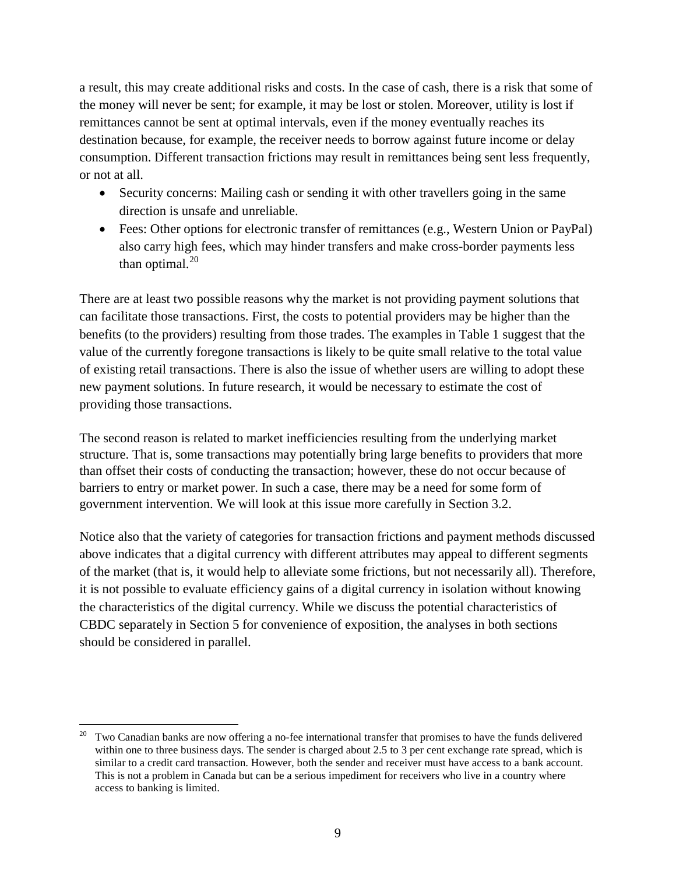a result, this may create additional risks and costs. In the case of cash, there is a risk that some of the money will never be sent; for example, it may be lost or stolen. Moreover, utility is lost if remittances cannot be sent at optimal intervals, even if the money eventually reaches its destination because, for example, the receiver needs to borrow against future income or delay consumption. Different transaction frictions may result in remittances being sent less frequently, or not at all.

- Security concerns: Mailing cash or sending it with other travellers going in the same direction is unsafe and unreliable.
- Fees: Other options for electronic transfer of remittances (e.g., Western Union or PayPal) also carry high fees, which may hinder transfers and make cross-border payments less than optimal. $^{20}$  $^{20}$  $^{20}$

There are at least two possible reasons why the market is not providing payment solutions that can facilitate those transactions. First, the costs to potential providers may be higher than the benefits (to the providers) resulting from those trades. The examples in Table 1 suggest that the value of the currently foregone transactions is likely to be quite small relative to the total value of existing retail transactions. There is also the issue of whether users are willing to adopt these new payment solutions. In future research, it would be necessary to estimate the cost of providing those transactions.

The second reason is related to market inefficiencies resulting from the underlying market structure. That is, some transactions may potentially bring large benefits to providers that more than offset their costs of conducting the transaction; however, these do not occur because of barriers to entry or market power. In such a case, there may be a need for some form of government intervention. We will look at this issue more carefully in Section 3.2.

Notice also that the variety of categories for transaction frictions and payment methods discussed above indicates that a digital currency with different attributes may appeal to different segments of the market (that is, it would help to alleviate some frictions, but not necessarily all). Therefore, it is not possible to evaluate efficiency gains of a digital currency in isolation without knowing the characteristics of the digital currency. While we discuss the potential characteristics of CBDC separately in Section 5 for convenience of exposition, the analyses in both sections should be considered in parallel.

<span id="page-12-0"></span><sup>&</sup>lt;sup>20</sup> Two Canadian banks are now offering a no-fee international transfer that promises to have the funds delivered within one to three business days. The sender is charged about 2.5 to 3 per cent exchange rate spread, which is similar to a credit card transaction. However, both the sender and receiver must have access to a bank account. This is not a problem in Canada but can be a serious impediment for receivers who live in a country where access to banking is limited.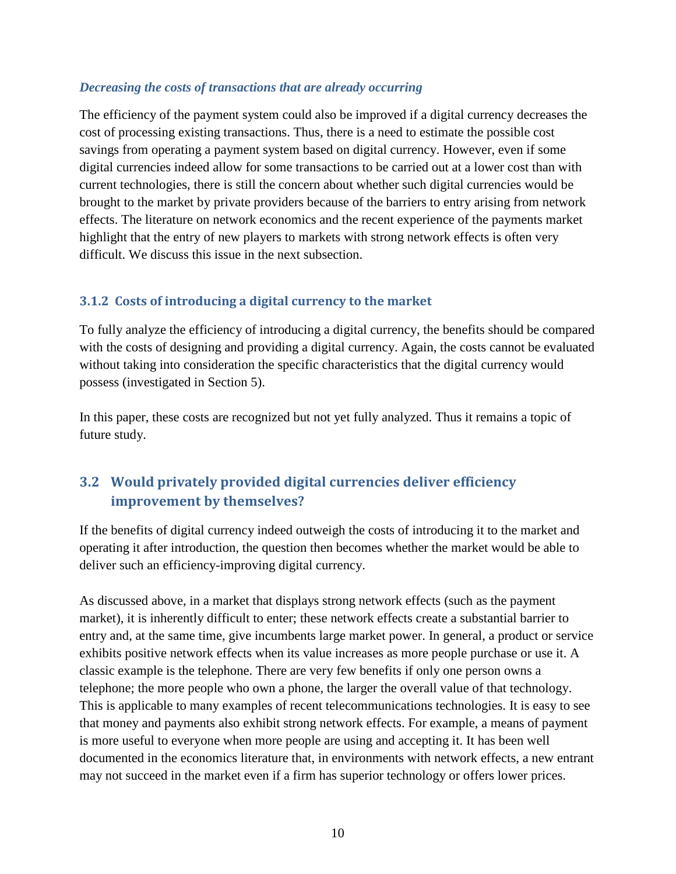#### *Decreasing the costs of transactions that are already occurring*

The efficiency of the payment system could also be improved if a digital currency decreases the cost of processing existing transactions. Thus, there is a need to estimate the possible cost savings from operating a payment system based on digital currency. However, even if some digital currencies indeed allow for some transactions to be carried out at a lower cost than with current technologies, there is still the concern about whether such digital currencies would be brought to the market by private providers because of the barriers to entry arising from network effects. The literature on network economics and the recent experience of the payments market highlight that the entry of new players to markets with strong network effects is often very difficult. We discuss this issue in the next subsection.

#### **3.1.2 Costs of introducing a digital currency to the market**

To fully analyze the efficiency of introducing a digital currency, the benefits should be compared with the costs of designing and providing a digital currency. Again, the costs cannot be evaluated without taking into consideration the specific characteristics that the digital currency would possess (investigated in Section 5).

In this paper, these costs are recognized but not yet fully analyzed. Thus it remains a topic of future study.

## **3.2 Would privately provided digital currencies deliver efficiency improvement by themselves?**

If the benefits of digital currency indeed outweigh the costs of introducing it to the market and operating it after introduction, the question then becomes whether the market would be able to deliver such an efficiency-improving digital currency.

As discussed above, in a market that displays strong network effects (such as the payment market), it is inherently difficult to enter; these network effects create a substantial barrier to entry and, at the same time, give incumbents large market power. In general, a product or service exhibits positive network effects when its value increases as more people purchase or use it. A classic example is the telephone. There are very few benefits if only one person owns a telephone; the more people who own a phone, the larger the overall value of that technology. This is applicable to many examples of recent telecommunications technologies. It is easy to see that money and payments also exhibit strong network effects. For example, a means of payment is more useful to everyone when more people are using and accepting it. It has been well documented in the economics literature that, in environments with network effects, a new entrant may not succeed in the market even if a firm has superior technology or offers lower prices.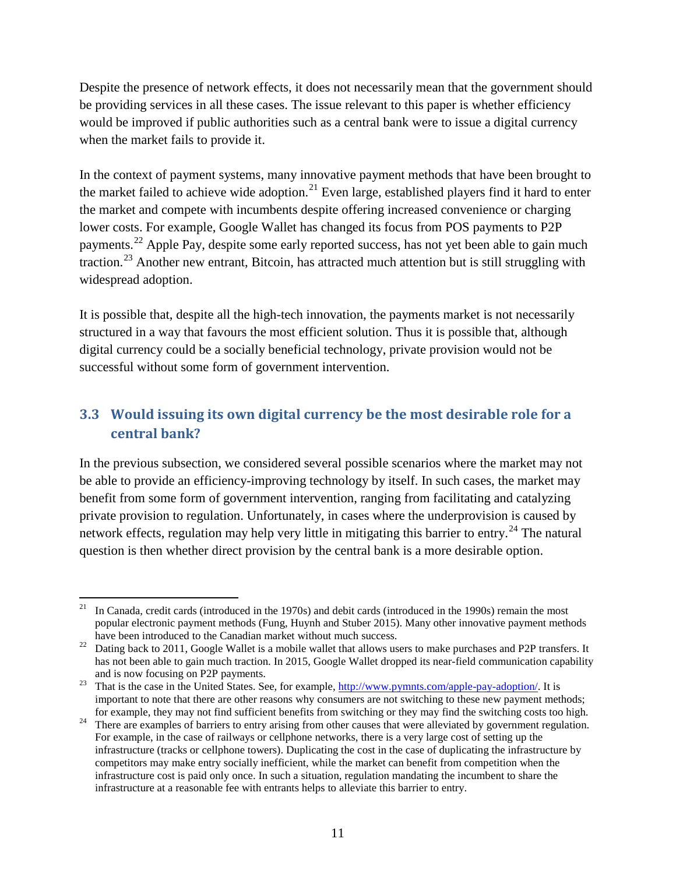Despite the presence of network effects, it does not necessarily mean that the government should be providing services in all these cases. The issue relevant to this paper is whether efficiency would be improved if public authorities such as a central bank were to issue a digital currency when the market fails to provide it.

In the context of payment systems, many innovative payment methods that have been brought to the market failed to achieve wide adoption.<sup>[21](#page-14-0)</sup> Even large, established players find it hard to enter the market and compete with incumbents despite offering increased convenience or charging lower costs. For example, Google Wallet has changed its focus from POS payments to P2P payments.<sup>[22](#page-14-1)</sup> Apple Pay, despite some early reported success, has not yet been able to gain much traction.<sup>[23](#page-14-2)</sup> Another new entrant, Bitcoin, has attracted much attention but is still struggling with widespread adoption.

It is possible that, despite all the high-tech innovation, the payments market is not necessarily structured in a way that favours the most efficient solution. Thus it is possible that, although digital currency could be a socially beneficial technology, private provision would not be successful without some form of government intervention.

## **3.3 Would issuing its own digital currency be the most desirable role for a central bank?**

In the previous subsection, we considered several possible scenarios where the market may not be able to provide an efficiency-improving technology by itself. In such cases, the market may benefit from some form of government intervention, ranging from facilitating and catalyzing private provision to regulation. Unfortunately, in cases where the underprovision is caused by network effects, regulation may help very little in mitigating this barrier to entry.<sup>[24](#page-14-3)</sup> The natural question is then whether direct provision by the central bank is a more desirable option.

<span id="page-14-0"></span><sup>&</sup>lt;sup>21</sup> In Canada, credit cards (introduced in the 1970s) and debit cards (introduced in the 1990s) remain the most popular electronic payment methods (Fung, Huynh and Stuber 2015). Many other innovative payment methods

<span id="page-14-1"></span>have been introduced to the Canadian market without much success.<br><sup>22</sup> Dating back to 2011, Google Wallet is a mobile wallet that allows users to make purchases and P2P transfers. It has not been able to gain much traction. In 2015, Google Wallet dropped its near-field communication capability

<span id="page-14-2"></span>and is now focusing on P2P payments.<br><sup>23</sup> That is the case in the United States. See, for example, <u>http://www.pymnts.com/apple-pay-adoption/</u>. It is important to note that there are other reasons why consumers are not switching to these new payment methods;

<span id="page-14-3"></span>for example, they may not find sufficient benefits from switching or they may find the switching costs too high.<br><sup>24</sup> There are examples of barriers to entry arising from other causes that were alleviated by government re For example, in the case of railways or cellphone networks, there is a very large cost of setting up the infrastructure (tracks or cellphone towers). Duplicating the cost in the case of duplicating the infrastructure by competitors may make entry socially inefficient, while the market can benefit from competition when the infrastructure cost is paid only once. In such a situation, regulation mandating the incumbent to share the infrastructure at a reasonable fee with entrants helps to alleviate this barrier to entry.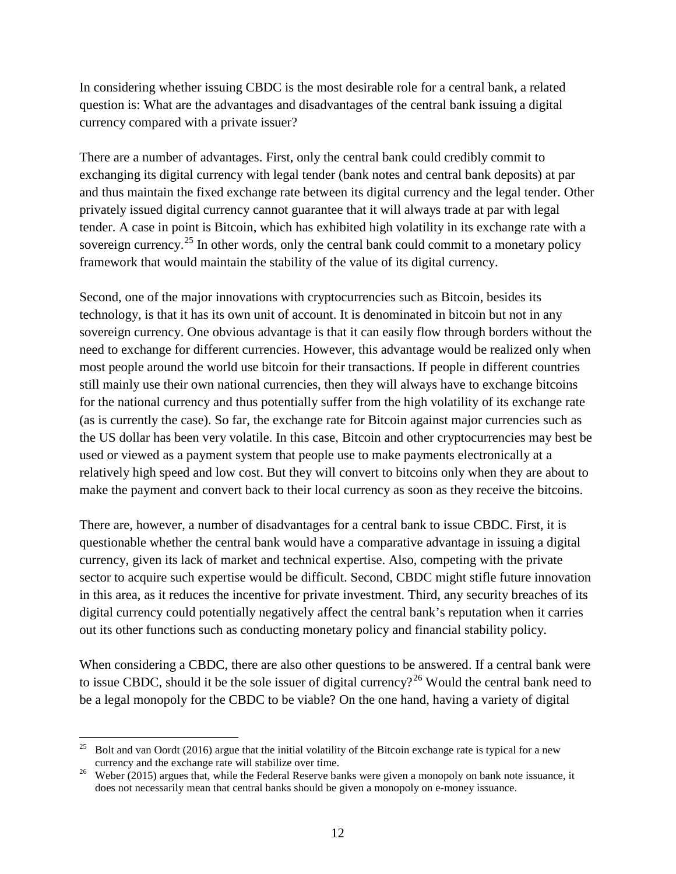In considering whether issuing CBDC is the most desirable role for a central bank, a related question is: What are the advantages and disadvantages of the central bank issuing a digital currency compared with a private issuer?

There are a number of advantages. First, only the central bank could credibly commit to exchanging its digital currency with legal tender (bank notes and central bank deposits) at par and thus maintain the fixed exchange rate between its digital currency and the legal tender. Other privately issued digital currency cannot guarantee that it will always trade at par with legal tender. A case in point is Bitcoin, which has exhibited high volatility in its exchange rate with a sovereign currency.<sup>[25](#page-15-0)</sup> In other words, only the central bank could commit to a monetary policy framework that would maintain the stability of the value of its digital currency.

Second, one of the major innovations with cryptocurrencies such as Bitcoin, besides its technology, is that it has its own unit of account. It is denominated in bitcoin but not in any sovereign currency. One obvious advantage is that it can easily flow through borders without the need to exchange for different currencies. However, this advantage would be realized only when most people around the world use bitcoin for their transactions. If people in different countries still mainly use their own national currencies, then they will always have to exchange bitcoins for the national currency and thus potentially suffer from the high volatility of its exchange rate (as is currently the case). So far, the exchange rate for Bitcoin against major currencies such as the US dollar has been very volatile. In this case, Bitcoin and other cryptocurrencies may best be used or viewed as a payment system that people use to make payments electronically at a relatively high speed and low cost. But they will convert to bitcoins only when they are about to make the payment and convert back to their local currency as soon as they receive the bitcoins.

There are, however, a number of disadvantages for a central bank to issue CBDC. First, it is questionable whether the central bank would have a comparative advantage in issuing a digital currency, given its lack of market and technical expertise. Also, competing with the private sector to acquire such expertise would be difficult. Second, CBDC might stifle future innovation in this area, as it reduces the incentive for private investment. Third, any security breaches of its digital currency could potentially negatively affect the central bank's reputation when it carries out its other functions such as conducting monetary policy and financial stability policy.

When considering a CBDC, there are also other questions to be answered. If a central bank were to issue CBDC, should it be the sole issuer of digital currency?<sup>[26](#page-15-1)</sup> Would the central bank need to be a legal monopoly for the CBDC to be viable? On the one hand, having a variety of digital

<span id="page-15-0"></span><sup>&</sup>lt;sup>25</sup> Bolt and van Oordt (2016) argue that the initial volatility of the Bitcoin exchange rate is typical for a new

<span id="page-15-1"></span>currency and the exchange rate will stabilize over time. <sup>26</sup> Weber (2015) argues that, while the Federal Reserve banks were given a monopoly on bank note issuance, it does not necessarily mean that central banks should be given a monopoly on e-money issuance.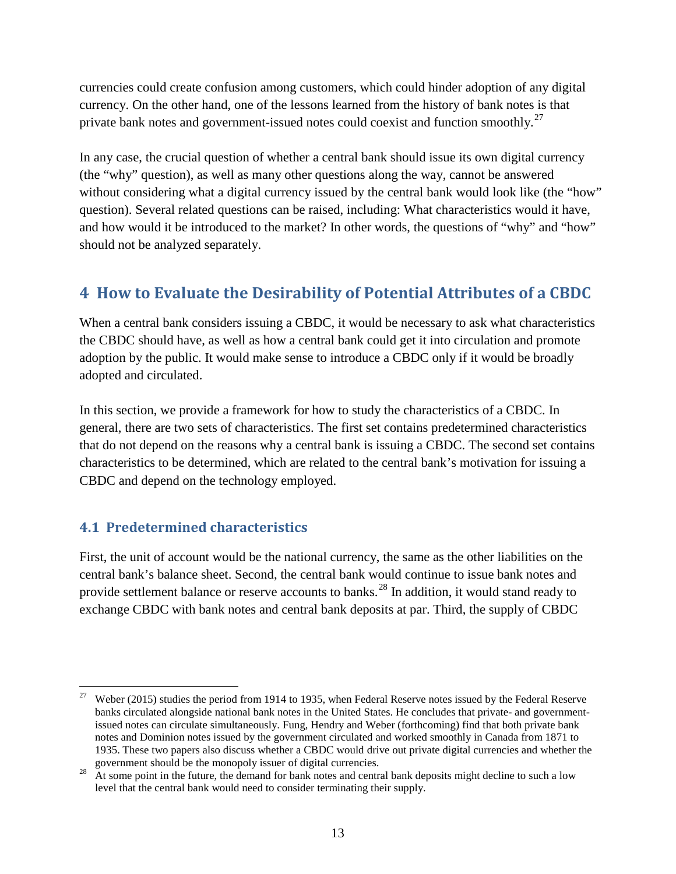currencies could create confusion among customers, which could hinder adoption of any digital currency. On the other hand, one of the lessons learned from the history of bank notes is that private bank notes and government-issued notes could coexist and function smoothly.<sup>[27](#page-16-0)</sup>

In any case, the crucial question of whether a central bank should issue its own digital currency (the "why" question), as well as many other questions along the way, cannot be answered without considering what a digital currency issued by the central bank would look like (the "how" question). Several related questions can be raised, including: What characteristics would it have, and how would it be introduced to the market? In other words, the questions of "why" and "how" should not be analyzed separately.

## **4 How to Evaluate the Desirability of Potential Attributes of a CBDC**

When a central bank considers issuing a CBDC, it would be necessary to ask what characteristics the CBDC should have, as well as how a central bank could get it into circulation and promote adoption by the public. It would make sense to introduce a CBDC only if it would be broadly adopted and circulated.

In this section, we provide a framework for how to study the characteristics of a CBDC. In general, there are two sets of characteristics. The first set contains predetermined characteristics that do not depend on the reasons why a central bank is issuing a CBDC. The second set contains characteristics to be determined, which are related to the central bank's motivation for issuing a CBDC and depend on the technology employed.

## **4.1 Predetermined characteristics**

First, the unit of account would be the national currency, the same as the other liabilities on the central bank's balance sheet. Second, the central bank would continue to issue bank notes and provide settlement balance or reserve accounts to banks.<sup>[28](#page-16-1)</sup> In addition, it would stand ready to exchange CBDC with bank notes and central bank deposits at par. Third, the supply of CBDC

<span id="page-16-0"></span> <sup>27</sup> Weber (2015) studies the period from 1914 to 1935, when Federal Reserve notes issued by the Federal Reserve banks circulated alongside national bank notes in the United States. He concludes that private- and governmentissued notes can circulate simultaneously. Fung, Hendry and Weber (forthcoming) find that both private bank notes and Dominion notes issued by the government circulated and worked smoothly in Canada from 1871 to 1935. These two papers also discuss whether a CBDC would drive out private digital currencies and whether the

<span id="page-16-1"></span> $28$  At some point in the future, the demand for bank notes and central bank deposits might decline to such a low level that the central bank would need to consider terminating their supply.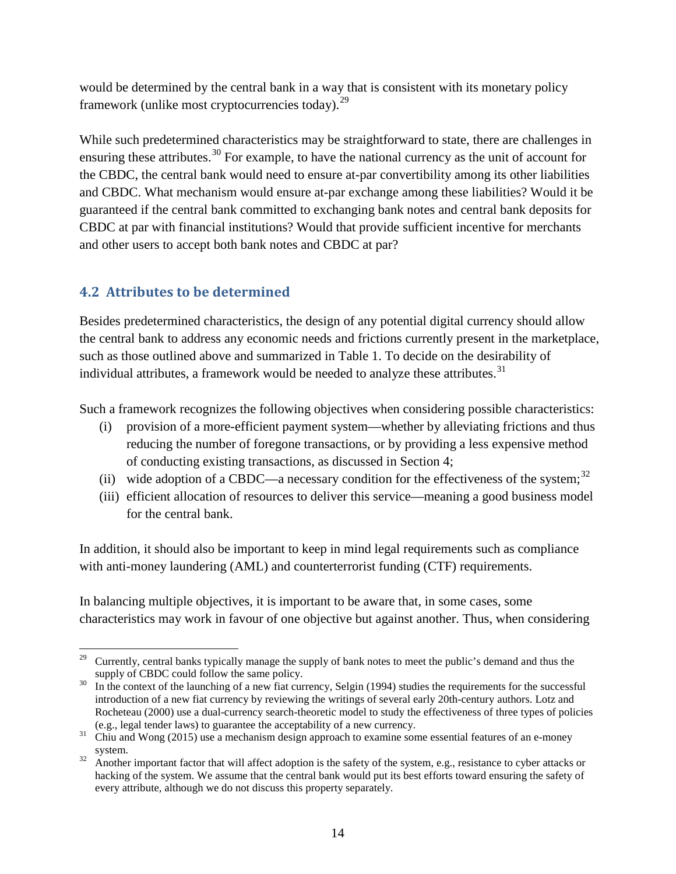would be determined by the central bank in a way that is consistent with its monetary policy framework (unlike most cryptocurrencies today). $^{29}$  $^{29}$  $^{29}$ 

While such predetermined characteristics may be straightforward to state, there are challenges in ensuring these attributes.<sup>[30](#page-17-1)</sup> For example, to have the national currency as the unit of account for the CBDC, the central bank would need to ensure at-par convertibility among its other liabilities and CBDC. What mechanism would ensure at-par exchange among these liabilities? Would it be guaranteed if the central bank committed to exchanging bank notes and central bank deposits for CBDC at par with financial institutions? Would that provide sufficient incentive for merchants and other users to accept both bank notes and CBDC at par?

## **4.2 Attributes to be determined**

Besides predetermined characteristics, the design of any potential digital currency should allow the central bank to address any economic needs and frictions currently present in the marketplace, such as those outlined above and summarized in Table 1. To decide on the desirability of individual attributes, a framework would be needed to analyze these attributes.<sup>[31](#page-17-2)</sup>

Such a framework recognizes the following objectives when considering possible characteristics:

- (i) provision of a more-efficient payment system—whether by alleviating frictions and thus reducing the number of foregone transactions, or by providing a less expensive method of conducting existing transactions, as discussed in Section 4;
- (ii) wide adoption of a CBDC—a necessary condition for the effectiveness of the system;<sup>[32](#page-17-3)</sup>
- (iii) efficient allocation of resources to deliver this service—meaning a good business model for the central bank.

In addition, it should also be important to keep in mind legal requirements such as compliance with anti-money laundering (AML) and counterterrorist funding (CTF) requirements.

In balancing multiple objectives, it is important to be aware that, in some cases, some characteristics may work in favour of one objective but against another. Thus, when considering

<span id="page-17-0"></span><sup>&</sup>lt;sup>29</sup> Currently, central banks typically manage the supply of bank notes to meet the public's demand and thus the supply of CBDC could follow the same policy.

<span id="page-17-1"></span> $\frac{30}{20}$  In the context of the launching of a new fiat currency, Selgin (1994) studies the requirements for the successful introduction of a new fiat currency by reviewing the writings of several early 20th-century authors. Lotz and Rocheteau (2000) use a dual-currency search-theoretic model to study the effectiveness of three types of policies

<span id="page-17-2"></span><sup>(</sup>e.g., legal tender laws) to guarantee the acceptability of a new currency. <sup>31</sup> Chiu and Wong (2015) use a mechanism design approach to examine some essential features of an e-money

<span id="page-17-3"></span><sup>&</sup>lt;sup>32</sup> Another important factor that will affect adoption is the safety of the system, e.g., resistance to cyber attacks or hacking of the system. We assume that the central bank would put its best efforts toward ensuring the safety of every attribute, although we do not discuss this property separately.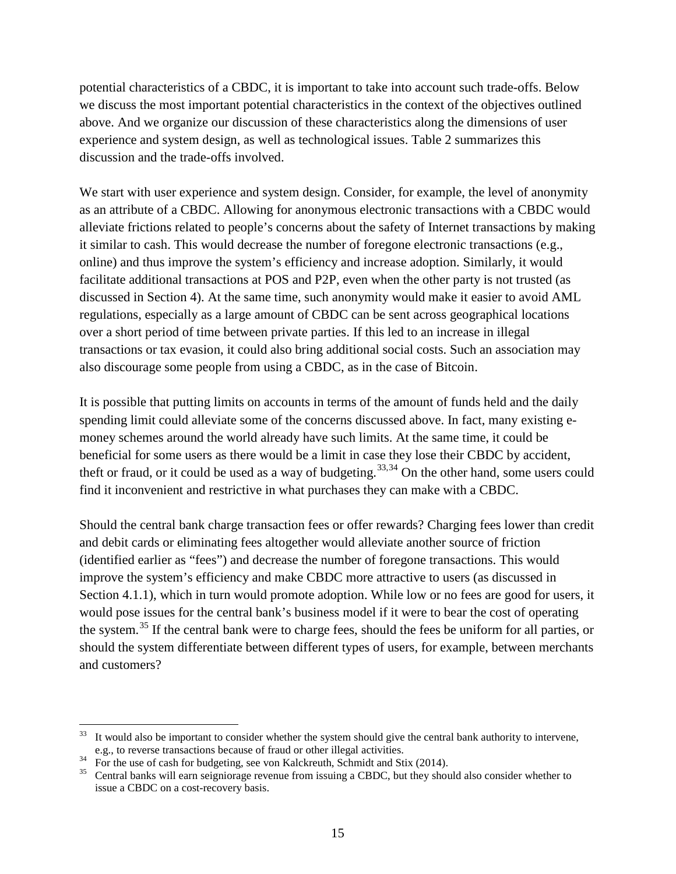potential characteristics of a CBDC, it is important to take into account such trade-offs. Below we discuss the most important potential characteristics in the context of the objectives outlined above. And we organize our discussion of these characteristics along the dimensions of user experience and system design, as well as technological issues. Table 2 summarizes this discussion and the trade-offs involved.

We start with user experience and system design. Consider, for example, the level of anonymity as an attribute of a CBDC. Allowing for anonymous electronic transactions with a CBDC would alleviate frictions related to people's concerns about the safety of Internet transactions by making it similar to cash. This would decrease the number of foregone electronic transactions (e.g., online) and thus improve the system's efficiency and increase adoption. Similarly, it would facilitate additional transactions at POS and P2P, even when the other party is not trusted (as discussed in Section 4). At the same time, such anonymity would make it easier to avoid AML regulations, especially as a large amount of CBDC can be sent across geographical locations over a short period of time between private parties. If this led to an increase in illegal transactions or tax evasion, it could also bring additional social costs. Such an association may also discourage some people from using a CBDC, as in the case of Bitcoin.

It is possible that putting limits on accounts in terms of the amount of funds held and the daily spending limit could alleviate some of the concerns discussed above. In fact, many existing emoney schemes around the world already have such limits. At the same time, it could be beneficial for some users as there would be a limit in case they lose their CBDC by accident, theft or fraud, or it could be used as a way of budgeting.<sup>[33,](#page-18-0)[34](#page-18-1)</sup> On the other hand, some users could find it inconvenient and restrictive in what purchases they can make with a CBDC.

Should the central bank charge transaction fees or offer rewards? Charging fees lower than credit and debit cards or eliminating fees altogether would alleviate another source of friction (identified earlier as "fees") and decrease the number of foregone transactions. This would improve the system's efficiency and make CBDC more attractive to users (as discussed in Section 4.1.1), which in turn would promote adoption. While low or no fees are good for users, it would pose issues for the central bank's business model if it were to bear the cost of operating the system.<sup>[35](#page-18-2)</sup> If the central bank were to charge fees, should the fees be uniform for all parties, or should the system differentiate between different types of users, for example, between merchants and customers?

<span id="page-18-0"></span> $33$  It would also be important to consider whether the system should give the central bank authority to intervene, e.g., to reverse transactions because of fraud or other illegal activities.

<span id="page-18-2"></span><span id="page-18-1"></span> $^{34}$  For the use of cash for budgeting, see von Kalckreuth, Schmidt and Stix (2014).<br><sup>35</sup> Central banks will earn seigniorage revenue from issuing a CBDC, but they should also consider whether to issue a CBDC on a cost-recovery basis.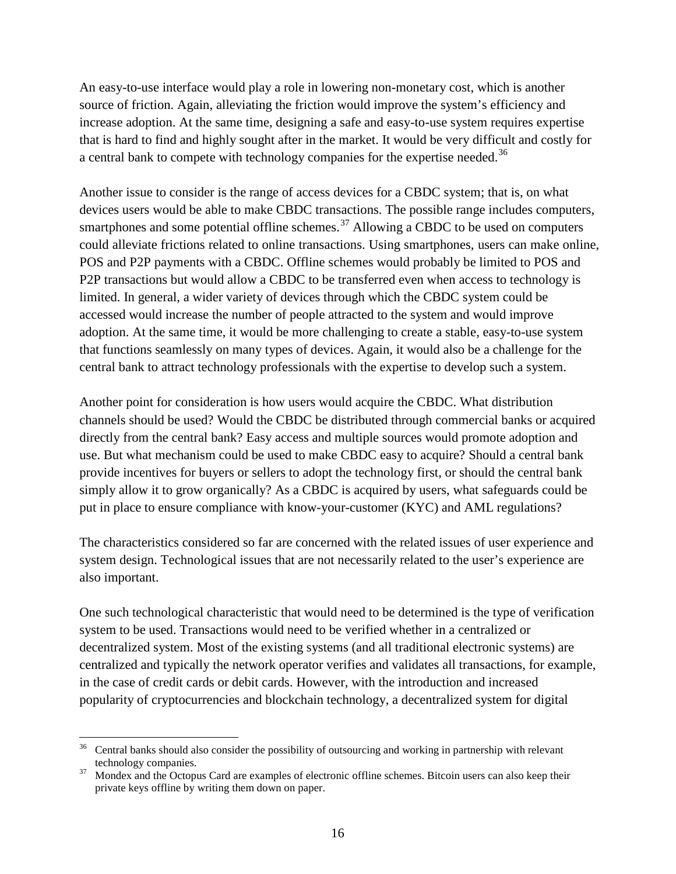An easy-to-use interface would play a role in lowering non-monetary cost, which is another source of friction. Again, alleviating the friction would improve the system's efficiency and increase adoption. At the same time, designing a safe and easy-to-use system requires expertise that is hard to find and highly sought after in the market. It would be very difficult and costly for a central bank to compete with technology companies for the expertise needed.<sup>[36](#page-19-0)</sup>

Another issue to consider is the range of access devices for a CBDC system; that is, on what devices users would be able to make CBDC transactions. The possible range includes computers, smartphones and some potential offline schemes.<sup>[37](#page-19-1)</sup> Allowing a CBDC to be used on computers could alleviate frictions related to online transactions. Using smartphones, users can make online, POS and P2P payments with a CBDC. Offline schemes would probably be limited to POS and P2P transactions but would allow a CBDC to be transferred even when access to technology is limited. In general, a wider variety of devices through which the CBDC system could be accessed would increase the number of people attracted to the system and would improve adoption. At the same time, it would be more challenging to create a stable, easy-to-use system that functions seamlessly on many types of devices. Again, it would also be a challenge for the central bank to attract technology professionals with the expertise to develop such a system.

Another point for consideration is how users would acquire the CBDC. What distribution channels should be used? Would the CBDC be distributed through commercial banks or acquired directly from the central bank? Easy access and multiple sources would promote adoption and use. But what mechanism could be used to make CBDC easy to acquire? Should a central bank provide incentives for buyers or sellers to adopt the technology first, or should the central bank simply allow it to grow organically? As a CBDC is acquired by users, what safeguards could be put in place to ensure compliance with know-your-customer (KYC) and AML regulations?

The characteristics considered so far are concerned with the related issues of user experience and system design. Technological issues that are not necessarily related to the user's experience are also important.

One such technological characteristic that would need to be determined is the type of verification system to be used. Transactions would need to be verified whether in a centralized or decentralized system. Most of the existing systems (and all traditional electronic systems) are centralized and typically the network operator verifies and validates all transactions, for example, in the case of credit cards or debit cards. However, with the introduction and increased popularity of cryptocurrencies and blockchain technology, a decentralized system for digital

<span id="page-19-0"></span><sup>&</sup>lt;sup>36</sup> Central banks should also consider the possibility of outsourcing and working in partnership with relevant technology companies.<br><sup>37</sup> Mondex and the Octopus Card are examples of electronic offline schemes. Bitcoin users can also keep their

<span id="page-19-1"></span>private keys offline by writing them down on paper.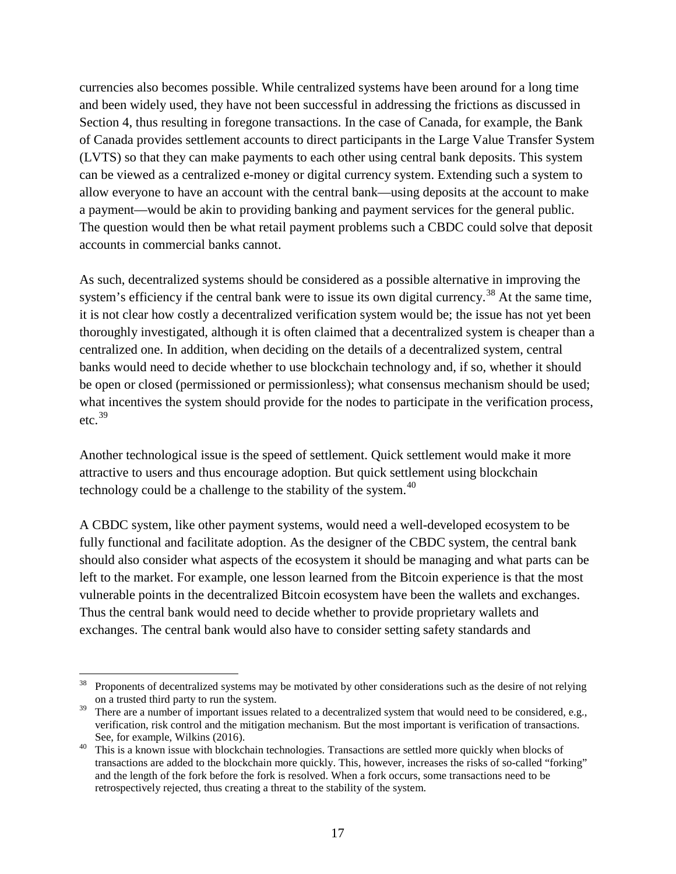currencies also becomes possible. While centralized systems have been around for a long time and been widely used, they have not been successful in addressing the frictions as discussed in Section 4, thus resulting in foregone transactions. In the case of Canada, for example, the Bank of Canada provides settlement accounts to direct participants in the Large Value Transfer System (LVTS) so that they can make payments to each other using central bank deposits. This system can be viewed as a centralized e-money or digital currency system. Extending such a system to allow everyone to have an account with the central bank—using deposits at the account to make a payment—would be akin to providing banking and payment services for the general public. The question would then be what retail payment problems such a CBDC could solve that deposit accounts in commercial banks cannot.

As such, decentralized systems should be considered as a possible alternative in improving the system's efficiency if the central bank were to issue its own digital currency.<sup>[38](#page-20-0)</sup> At the same time, it is not clear how costly a decentralized verification system would be; the issue has not yet been thoroughly investigated, although it is often claimed that a decentralized system is cheaper than a centralized one. In addition, when deciding on the details of a decentralized system, central banks would need to decide whether to use blockchain technology and, if so, whether it should be open or closed (permissioned or permissionless); what consensus mechanism should be used; what incentives the system should provide for the nodes to participate in the verification process,  $etc.<sup>39</sup>$  $etc.<sup>39</sup>$  $etc.<sup>39</sup>$ 

Another technological issue is the speed of settlement. Quick settlement would make it more attractive to users and thus encourage adoption. But quick settlement using blockchain technology could be a challenge to the stability of the system.<sup>[40](#page-20-2)</sup>

A CBDC system, like other payment systems, would need a well-developed ecosystem to be fully functional and facilitate adoption. As the designer of the CBDC system, the central bank should also consider what aspects of the ecosystem it should be managing and what parts can be left to the market. For example, one lesson learned from the Bitcoin experience is that the most vulnerable points in the decentralized Bitcoin ecosystem have been the wallets and exchanges. Thus the central bank would need to decide whether to provide proprietary wallets and exchanges. The central bank would also have to consider setting safety standards and

<span id="page-20-0"></span> <sup>38</sup> Proponents of decentralized systems may be motivated by other considerations such as the desire of not relying on a trusted third party to run the system.

<span id="page-20-1"></span><sup>&</sup>lt;sup>39</sup> There are a number of important issues related to a decentralized system that would need to be considered, e.g., verification, risk control and the mitigation mechanism. But the most important is verification of transactions.

<span id="page-20-2"></span>See, for example, Wilkins (2016).<br><sup>40</sup> This is a known issue with blockchain technologies. Transactions are settled more quickly when blocks of transactions are added to the blockchain more quickly. This, however, increases the risks of so-called "forking" and the length of the fork before the fork is resolved. When a fork occurs, some transactions need to be retrospectively rejected, thus creating a threat to the stability of the system.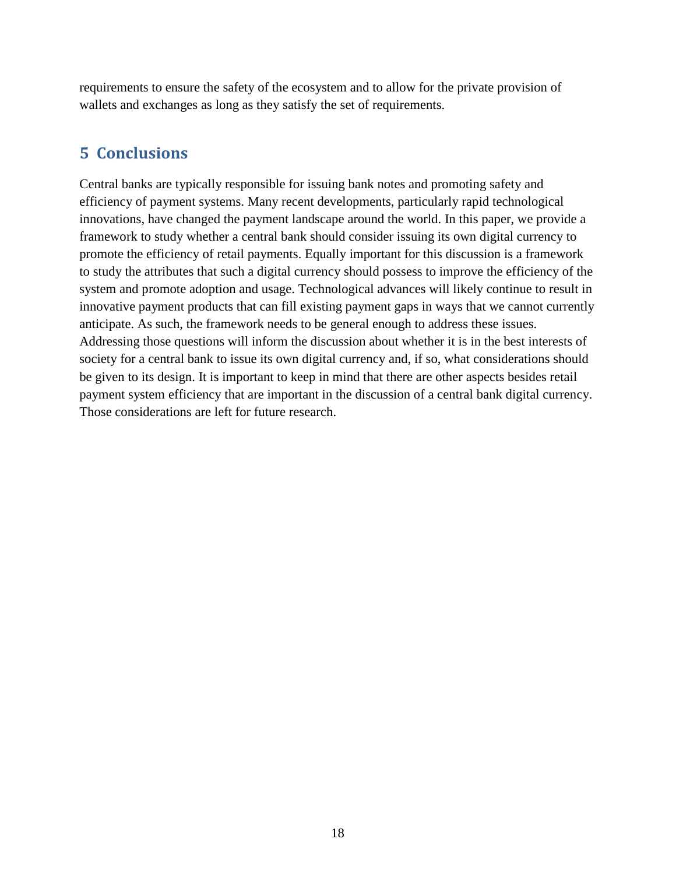requirements to ensure the safety of the ecosystem and to allow for the private provision of wallets and exchanges as long as they satisfy the set of requirements.

# **5 Conclusions**

Central banks are typically responsible for issuing bank notes and promoting safety and efficiency of payment systems. Many recent developments, particularly rapid technological innovations, have changed the payment landscape around the world. In this paper, we provide a framework to study whether a central bank should consider issuing its own digital currency to promote the efficiency of retail payments. Equally important for this discussion is a framework to study the attributes that such a digital currency should possess to improve the efficiency of the system and promote adoption and usage. Technological advances will likely continue to result in innovative payment products that can fill existing payment gaps in ways that we cannot currently anticipate. As such, the framework needs to be general enough to address these issues. Addressing those questions will inform the discussion about whether it is in the best interests of society for a central bank to issue its own digital currency and, if so, what considerations should be given to its design. It is important to keep in mind that there are other aspects besides retail payment system efficiency that are important in the discussion of a central bank digital currency. Those considerations are left for future research.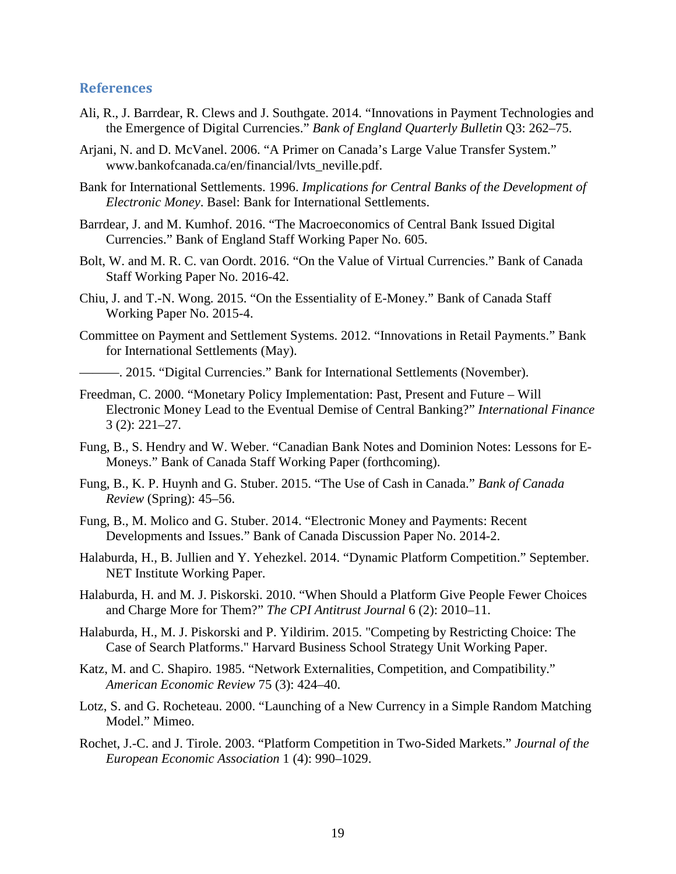#### **References**

- Ali, R., J. Barrdear, R. Clews and J. Southgate. 2014. "Innovations in Payment Technologies and the Emergence of Digital Currencies." *Bank of England Quarterly Bulletin* Q3: 262–75.
- Arjani, N. and D. McVanel. 2006. "A Primer on Canada's Large Value Transfer System." www.bankofcanada.ca/en/financial/lvts\_neville.pdf.
- Bank for International Settlements. 1996. *Implications for Central Banks of the Development of Electronic Money*. Basel: Bank for International Settlements.
- Barrdear, J. and M. Kumhof. 2016. "The Macroeconomics of Central Bank Issued Digital Currencies." Bank of England Staff Working Paper No. 605.
- Bolt, W. and M. R. C. van Oordt. 2016. "On the Value of Virtual Currencies." Bank of Canada Staff Working Paper No. 2016-42.
- Chiu, J. and T.-N. Wong. 2015. "On the Essentiality of E-Money." Bank of Canada Staff Working Paper No. 2015-4.
- Committee on Payment and Settlement Systems. 2012. "Innovations in Retail Payments." Bank for International Settlements (May).
	- ———. 2015. "Digital Currencies." Bank for International Settlements (November).
- Freedman, C. 2000. "Monetary Policy Implementation: Past, Present and Future Will Electronic Money Lead to the Eventual Demise of Central Banking?" *International Finance* 3 (2): 221–27.
- Fung, B., S. Hendry and W. Weber. "Canadian Bank Notes and Dominion Notes: Lessons for E-Moneys." Bank of Canada Staff Working Paper (forthcoming).
- Fung, B., K. P. Huynh and G. Stuber. 2015. "The Use of Cash in Canada." *Bank of Canada Review* (Spring): 45–56.
- Fung, B., M. Molico and G. Stuber. 2014. "Electronic Money and Payments: Recent Developments and Issues." Bank of Canada Discussion Paper No. 2014-2.
- Halaburda, H., B. Jullien and Y. Yehezkel. 2014. "Dynamic Platform Competition." September. NET Institute Working Paper.
- Halaburda, H. and M. J. Piskorski. 2010. "When Should a Platform Give People Fewer Choices and Charge More for Them?" *The CPI Antitrust Journal* 6 (2): 2010–11.
- Halaburda, H., M. J. Piskorski and P. Yildirim. 2015. "Competing by Restricting Choice: The Case of Search Platforms." Harvard Business School Strategy Unit Working Paper.
- Katz, M. and C. Shapiro. 1985. "Network Externalities, Competition, and Compatibility." *American Economic Review* 75 (3): 424–40.
- Lotz, S. and G. Rocheteau. 2000. "Launching of a New Currency in a Simple Random Matching Model." Mimeo.
- Rochet, J.-C. and J. Tirole. 2003. "Platform Competition in Two-Sided Markets." *Journal of the European Economic Association* 1 (4): 990–1029.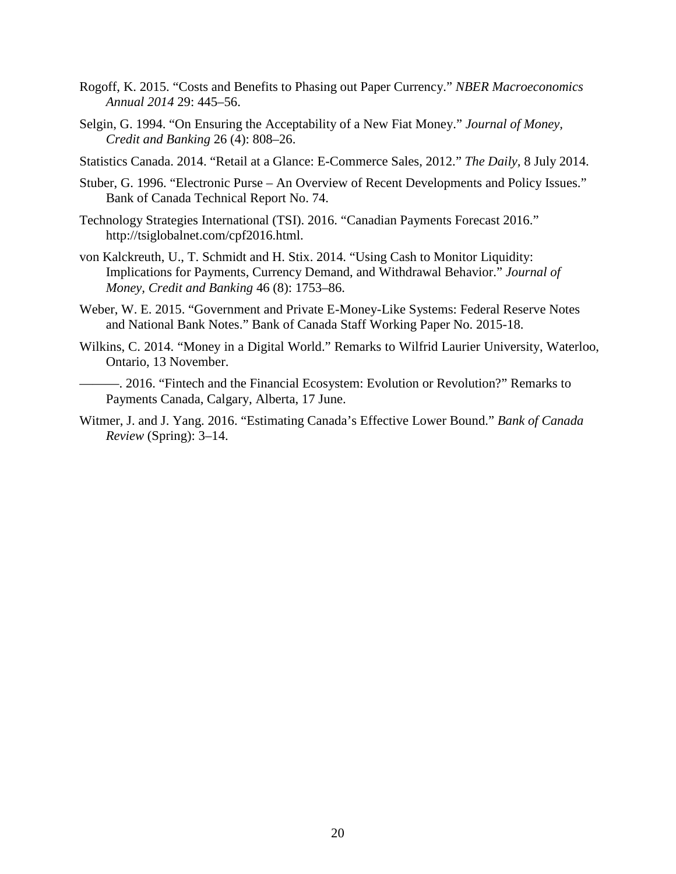- Rogoff, K. 2015. "Costs and Benefits to Phasing out Paper Currency." *NBER Macroeconomics Annual 2014* 29: 445–56.
- Selgin, G. 1994. "On Ensuring the Acceptability of a New Fiat Money." *Journal of Money, Credit and Banking* 26 (4): 808–26.
- Statistics Canada. 2014. "Retail at a Glance: E-Commerce Sales, 2012." *The Daily,* 8 July 2014.
- Stuber, G. 1996. "Electronic Purse An Overview of Recent Developments and Policy Issues." Bank of Canada Technical Report No. 74.
- Technology Strategies International (TSI). 2016. "Canadian Payments Forecast 2016." http://tsiglobalnet.com/cpf2016.html.
- von Kalckreuth, U., T. Schmidt and H. Stix. 2014. "Using Cash to Monitor Liquidity: Implications for Payments, Currency Demand, and Withdrawal Behavior." *Journal of Money, Credit and Banking* 46 (8): 1753–86.
- Weber, W. E. 2015. "Government and Private E-Money-Like Systems: Federal Reserve Notes and National Bank Notes." Bank of Canada Staff Working Paper No. 2015-18.
- Wilkins, C. 2014. "Money in a Digital World." Remarks to Wilfrid Laurier University, Waterloo, Ontario, 13 November.
- ———. 2016. "Fintech and the Financial Ecosystem: Evolution or Revolution?" Remarks to Payments Canada, Calgary, Alberta, 17 June.
- Witmer, J. and J. Yang. 2016. "Estimating Canada's Effective Lower Bound." *Bank of Canada Review* (Spring): 3–14.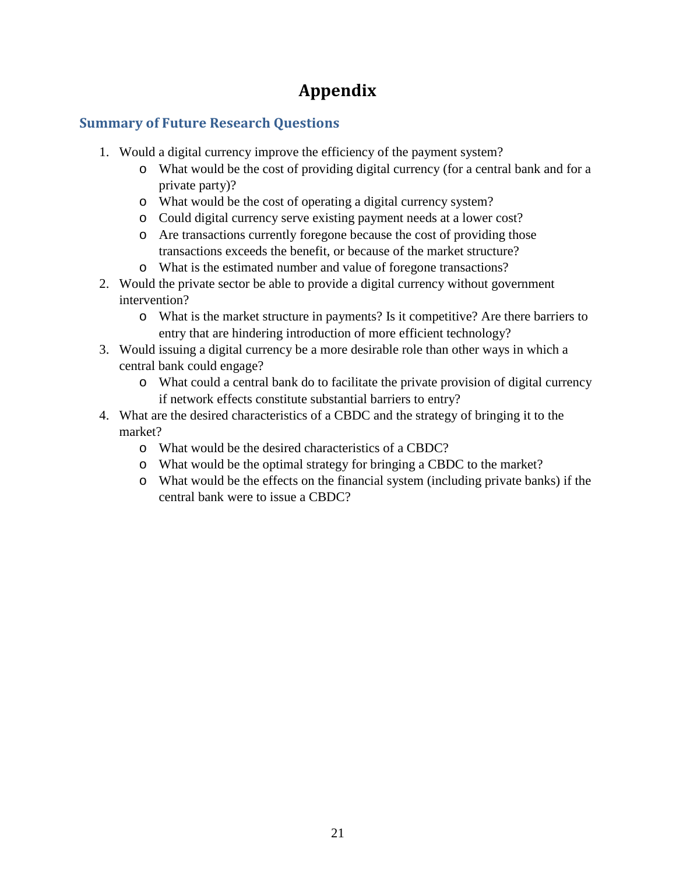# **Appendix**

## **Summary of Future Research Questions**

- 1. Would a digital currency improve the efficiency of the payment system?
	- o What would be the cost of providing digital currency (for a central bank and for a private party)?
	- o What would be the cost of operating a digital currency system?
	- o Could digital currency serve existing payment needs at a lower cost?
	- o Are transactions currently foregone because the cost of providing those transactions exceeds the benefit, or because of the market structure?
	- o What is the estimated number and value of foregone transactions?
- 2. Would the private sector be able to provide a digital currency without government intervention?
	- o What is the market structure in payments? Is it competitive? Are there barriers to entry that are hindering introduction of more efficient technology?
- 3. Would issuing a digital currency be a more desirable role than other ways in which a central bank could engage?
	- o What could a central bank do to facilitate the private provision of digital currency if network effects constitute substantial barriers to entry?
- 4. What are the desired characteristics of a CBDC and the strategy of bringing it to the market?
	- o What would be the desired characteristics of a CBDC?
	- o What would be the optimal strategy for bringing a CBDC to the market?
	- o What would be the effects on the financial system (including private banks) if the central bank were to issue a CBDC?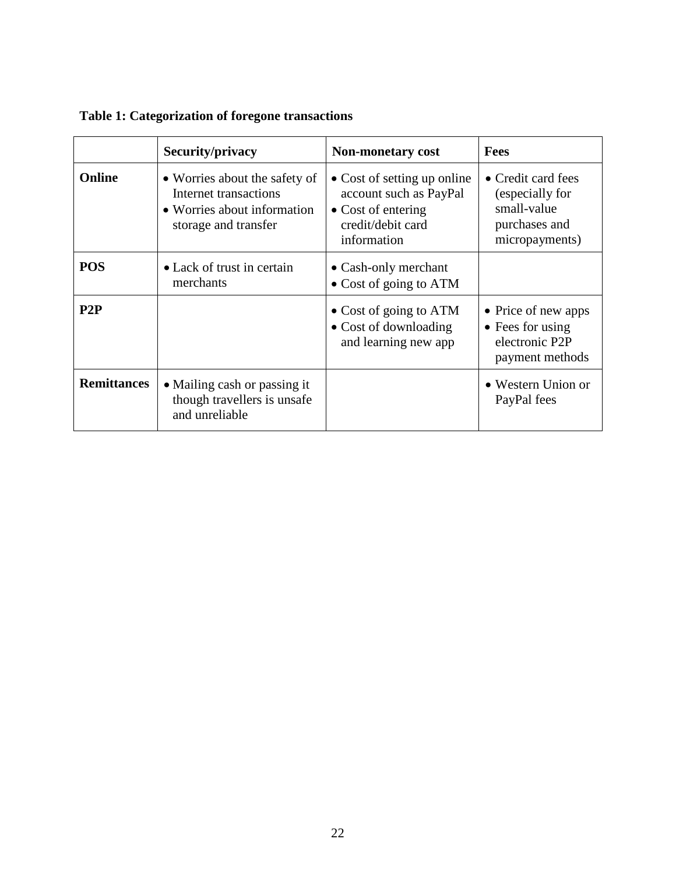|                    | Security/privacy                                                                                              | <b>Non-monetary cost</b>                                                                                        | <b>Fees</b>                                                                             |
|--------------------|---------------------------------------------------------------------------------------------------------------|-----------------------------------------------------------------------------------------------------------------|-----------------------------------------------------------------------------------------|
| <b>Online</b>      | • Worries about the safety of<br>Internet transactions<br>• Worries about information<br>storage and transfer | • Cost of setting up online<br>account such as PayPal<br>• Cost of entering<br>credit/debit card<br>information | • Credit card fees<br>(especially for<br>small-value<br>purchases and<br>micropayments) |
| <b>POS</b>         | • Lack of trust in certain<br>merchants                                                                       | • Cash-only merchant<br>$\bullet$ Cost of going to ATM                                                          |                                                                                         |
| P2P                |                                                                                                               | $\bullet$ Cost of going to ATM<br>• Cost of downloading<br>and learning new app                                 | • Price of new apps<br>$\bullet$ Fees for using<br>electronic P2P<br>payment methods    |
| <b>Remittances</b> | • Mailing cash or passing it<br>though travellers is unsafe<br>and unreliable                                 |                                                                                                                 | • Western Union or<br>PayPal fees                                                       |

**Table 1: Categorization of foregone transactions**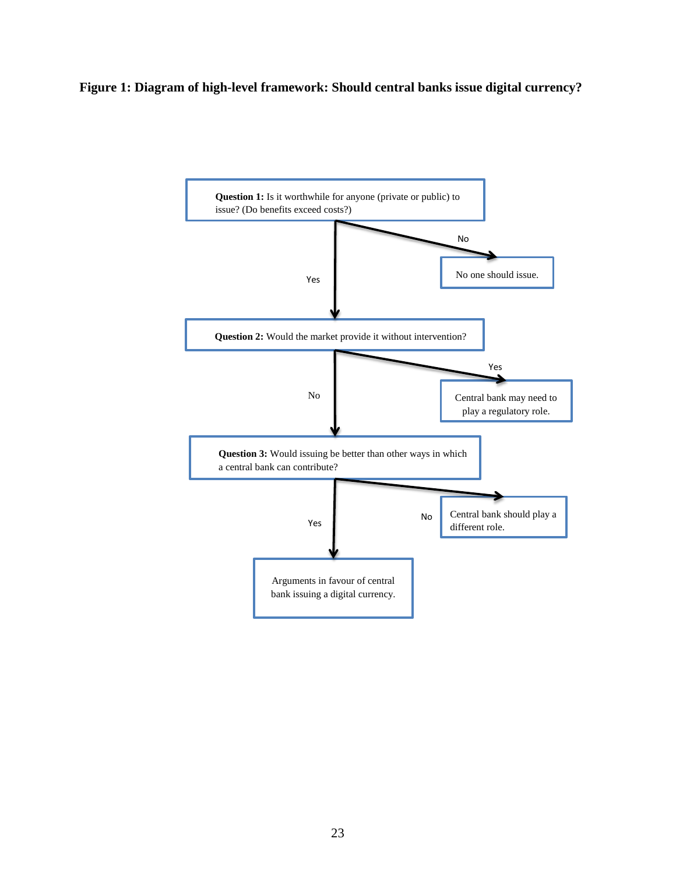**Figure 1: Diagram of high-level framework: Should central banks issue digital currency?**

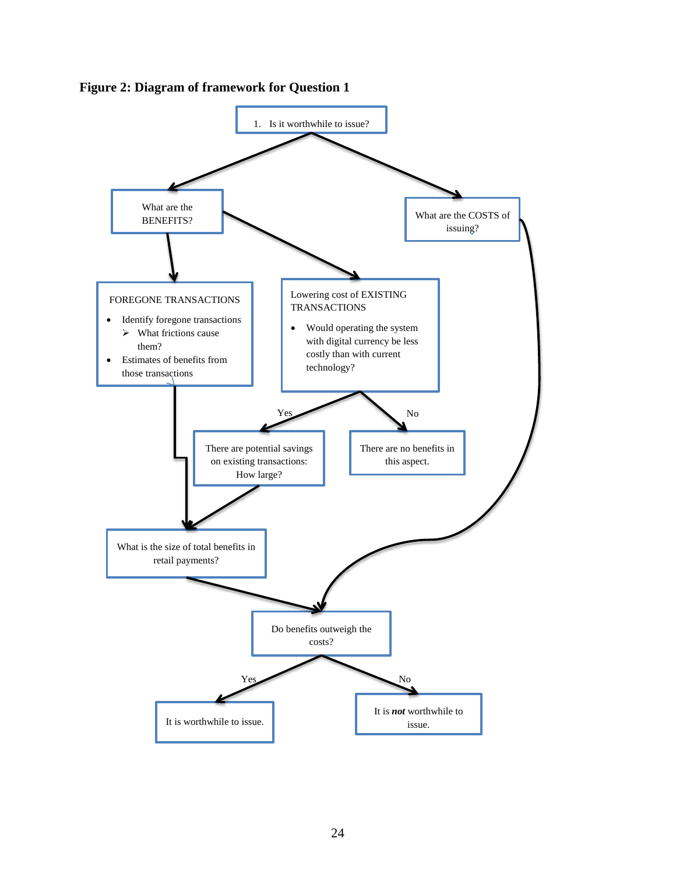

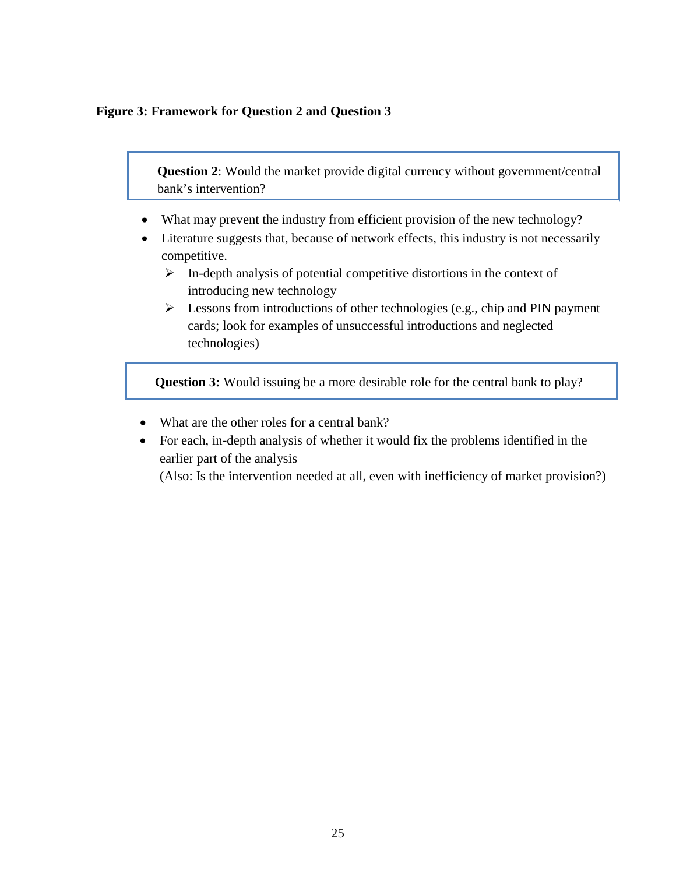#### **Figure 3: Framework for Question 2 and Question 3**

**Question 2**: Would the market provide digital currency without government/central bank's intervention?

- What may prevent the industry from efficient provision of the new technology?
- Literature suggests that, because of network effects, this industry is not necessarily competitive.
	- $\triangleright$  In-depth analysis of potential competitive distortions in the context of introducing new technology
	- $\triangleright$  Lessons from introductions of other technologies (e.g., chip and PIN payment cards; look for examples of unsuccessful introductions and neglected technologies)

**Question 3:** Would issuing be a more desirable role for the central bank to play?

- What are the other roles for a central bank?
- For each, in-depth analysis of whether it would fix the problems identified in the earlier part of the analysis

(Also: Is the intervention needed at all, even with inefficiency of market provision?)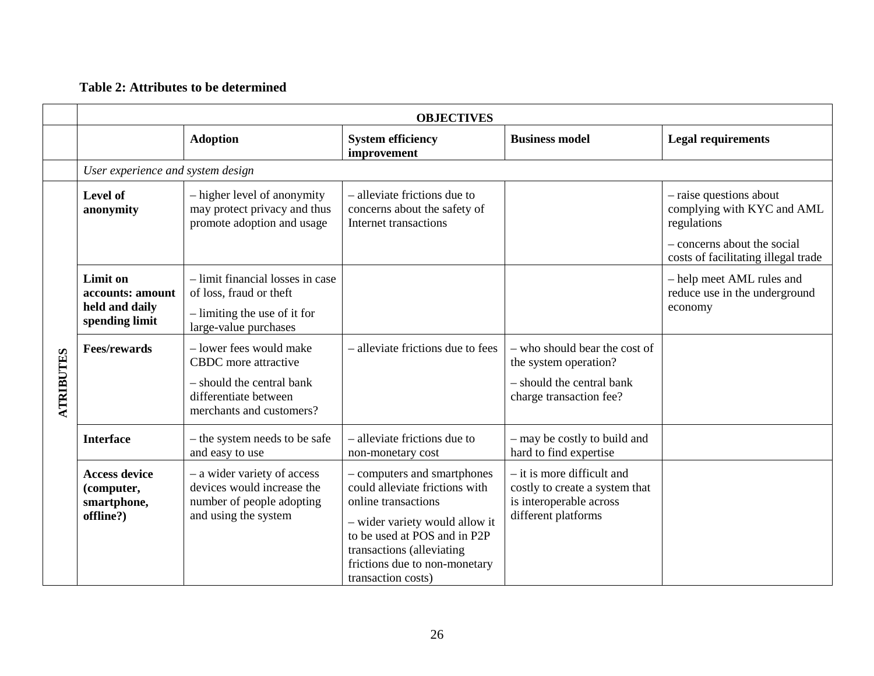#### **Table 2: Attributes to be determined**

|                  | <b>OBJECTIVES</b>                                              |                                                                                                                |                                                                                                                                                                                                                                            |                                                                                                                |                                                                      |  |  |
|------------------|----------------------------------------------------------------|----------------------------------------------------------------------------------------------------------------|--------------------------------------------------------------------------------------------------------------------------------------------------------------------------------------------------------------------------------------------|----------------------------------------------------------------------------------------------------------------|----------------------------------------------------------------------|--|--|
|                  |                                                                | <b>Adoption</b>                                                                                                | <b>System efficiency</b><br>improvement                                                                                                                                                                                                    | <b>Business model</b>                                                                                          | <b>Legal requirements</b>                                            |  |  |
|                  | User experience and system design                              |                                                                                                                |                                                                                                                                                                                                                                            |                                                                                                                |                                                                      |  |  |
| <b>ATRIBUTES</b> | Level of<br>anonymity                                          | - higher level of anonymity<br>may protect privacy and thus<br>promote adoption and usage                      | - alleviate frictions due to<br>concerns about the safety of<br>Internet transactions                                                                                                                                                      |                                                                                                                | - raise questions about<br>complying with KYC and AML<br>regulations |  |  |
|                  |                                                                |                                                                                                                |                                                                                                                                                                                                                                            |                                                                                                                | - concerns about the social<br>costs of facilitating illegal trade   |  |  |
|                  | Limit on<br>accounts: amount                                   | $-$ limit financial losses in case<br>of loss, fraud or theft                                                  |                                                                                                                                                                                                                                            |                                                                                                                | - help meet AML rules and<br>reduce use in the underground           |  |  |
|                  | held and daily<br>spending limit                               | - limiting the use of it for<br>large-value purchases                                                          |                                                                                                                                                                                                                                            |                                                                                                                | economy                                                              |  |  |
|                  | <b>Fees/rewards</b>                                            | - lower fees would make<br>CBDC more attractive                                                                | - alleviate frictions due to fees                                                                                                                                                                                                          | - who should bear the cost of<br>the system operation?                                                         |                                                                      |  |  |
|                  |                                                                | - should the central bank<br>differentiate between<br>merchants and customers?                                 |                                                                                                                                                                                                                                            | - should the central bank<br>charge transaction fee?                                                           |                                                                      |  |  |
|                  | <b>Interface</b>                                               | - the system needs to be safe<br>and easy to use                                                               | - alleviate frictions due to<br>non-monetary cost                                                                                                                                                                                          | - may be costly to build and<br>hard to find expertise                                                         |                                                                      |  |  |
|                  | <b>Access device</b><br>(computer,<br>smartphone,<br>offline?) | - a wider variety of access<br>devices would increase the<br>number of people adopting<br>and using the system | - computers and smartphones<br>could alleviate frictions with<br>online transactions<br>- wider variety would allow it<br>to be used at POS and in P2P<br>transactions (alleviating<br>frictions due to non-monetary<br>transaction costs) | - it is more difficult and<br>costly to create a system that<br>is interoperable across<br>different platforms |                                                                      |  |  |